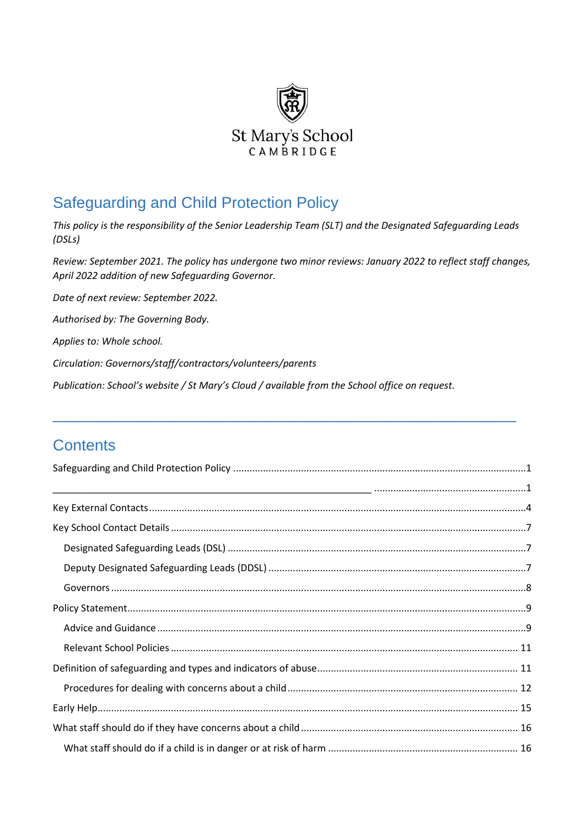

# <span id="page-0-0"></span>Safeguarding and Child Protection Policy

*This policy is the responsibility of the Senior Leadership Team (SLT) and the Designated Safeguarding Leads (DSLs)* 

*Review: September 2021. The policy has undergone two minor reviews: January 2022 to reflect staff changes, April 2022 addition of new Safeguarding Governor.*

<span id="page-0-1"></span>\_\_\_\_\_\_\_\_\_\_\_\_\_\_\_\_\_\_\_\_\_\_\_\_\_\_\_\_\_\_\_\_\_\_\_\_\_\_\_\_\_\_\_\_\_\_\_\_\_\_\_\_\_

*Date of next review: September 2022.*

*Authorised by: The Governing Body.*

*Applies to: Whole school.*

*Circulation: Governors/staff/contractors/volunteers/parents*

*Publication: School's website / St Mary's Cloud / available from the School office on request.*

## **Contents**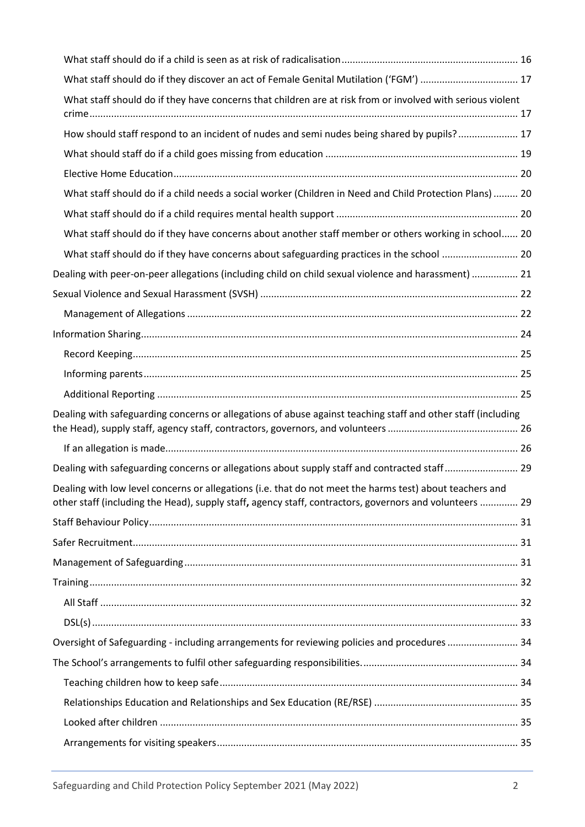| What staff should do if they discover an act of Female Genital Mutilation ('FGM')  17                                                                                                                               |  |
|---------------------------------------------------------------------------------------------------------------------------------------------------------------------------------------------------------------------|--|
| What staff should do if they have concerns that children are at risk from or involved with serious violent                                                                                                          |  |
| How should staff respond to an incident of nudes and semi nudes being shared by pupils? 17                                                                                                                          |  |
|                                                                                                                                                                                                                     |  |
|                                                                                                                                                                                                                     |  |
| What staff should do if a child needs a social worker (Children in Need and Child Protection Plans)  20                                                                                                             |  |
|                                                                                                                                                                                                                     |  |
| What staff should do if they have concerns about another staff member or others working in school 20                                                                                                                |  |
|                                                                                                                                                                                                                     |  |
| Dealing with peer-on-peer allegations (including child on child sexual violence and harassment)  21                                                                                                                 |  |
|                                                                                                                                                                                                                     |  |
|                                                                                                                                                                                                                     |  |
|                                                                                                                                                                                                                     |  |
|                                                                                                                                                                                                                     |  |
|                                                                                                                                                                                                                     |  |
|                                                                                                                                                                                                                     |  |
| Dealing with safeguarding concerns or allegations of abuse against teaching staff and other staff (including                                                                                                        |  |
|                                                                                                                                                                                                                     |  |
| Dealing with safeguarding concerns or allegations about supply staff and contracted staff 29                                                                                                                        |  |
| Dealing with low level concerns or allegations (i.e. that do not meet the harms test) about teachers and<br>other staff (including the Head), supply staff, agency staff, contractors, governors and volunteers  29 |  |
|                                                                                                                                                                                                                     |  |
|                                                                                                                                                                                                                     |  |
|                                                                                                                                                                                                                     |  |
|                                                                                                                                                                                                                     |  |
|                                                                                                                                                                                                                     |  |
|                                                                                                                                                                                                                     |  |
| Oversight of Safeguarding - including arrangements for reviewing policies and procedures  34                                                                                                                        |  |
|                                                                                                                                                                                                                     |  |
|                                                                                                                                                                                                                     |  |
|                                                                                                                                                                                                                     |  |
|                                                                                                                                                                                                                     |  |
|                                                                                                                                                                                                                     |  |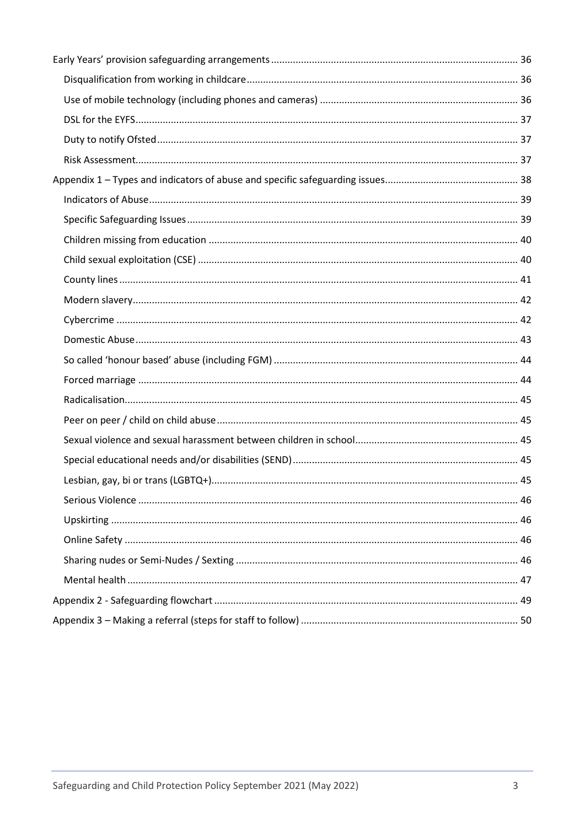<span id="page-2-0"></span>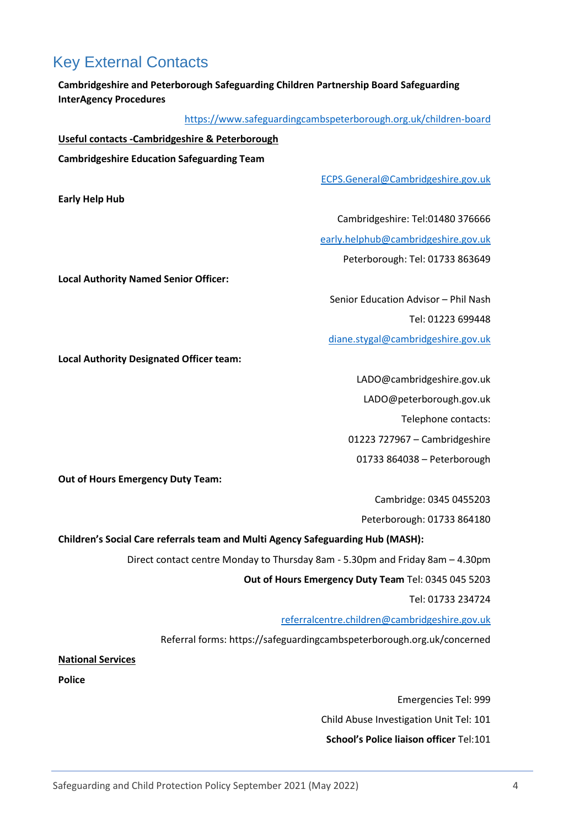## <span id="page-3-0"></span>Key External Contacts

**Early Help Hub**

**Cambridgeshire and Peterborough Safeguarding Children Partnership Board Safeguarding InterAgency Procedures**

<https://www.safeguardingcambspeterborough.org.uk/children-board>

**Useful contacts -Cambridgeshire & Peterborough**

**Cambridgeshire Education Safeguarding Team**

[ECPS.General@Cambridgeshire.gov.uk](mailto:ECPS.General@Cambridgeshire.gov.uk)

Cambridgeshire: Tel:01480 376666

[early.helphub@cambridgeshire.gov.uk](mailto:early.helphub@cambridgeshire.gov.uk)

Peterborough: Tel: 01733 863649

**Local Authority Named Senior Officer:**

Senior Education Advisor – Phil Nash

Tel: 01223 699448

[diane.stygal@cambridgeshire.gov.uk](mailto:diane.stygal@cambridgeshire.gov.uk)

**Local Authority Designated Officer team:**

LADO@cambridgeshire.gov.uk

LADO@peterborough.gov.uk

Telephone contacts:

01223 727967 – Cambridgeshire

01733 864038 – Peterborough

**Out of Hours Emergency Duty Team:**

Cambridge: 0345 0455203

Peterborough: 01733 864180

**Children's Social Care referrals team and Multi Agency Safeguarding Hub (MASH):**

Direct contact centre Monday to Thursday 8am - 5.30pm and Friday 8am – 4.30pm

**Out of Hours Emergency Duty Team** Tel: 0345 045 5203

Tel: 01733 234724

[referralcentre.children@cambridgeshire.gov.uk](mailto:referralcentre.children@cambridgeshire.gov.uk)

Referral forms: https://safeguardingcambspeterborough.org.uk/concerned

**National Services**

**Police**

Emergencies Tel: 999 Child Abuse Investigation Unit Tel: 101 **School's Police liaison officer** Tel:101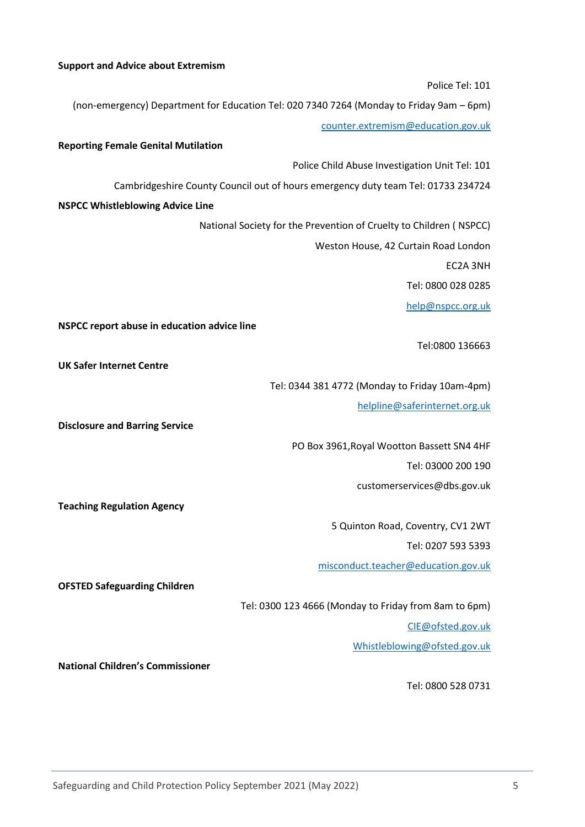#### **Support and Advice about Extremism**

Police Tel: 101 (non-emergency) Department for Education Tel: 020 7340 7264 (Monday to Friday 9am – 6pm) [counter.extremism@education.gov.uk](mailto:counter.extremism@education.gov.uk) **Reporting Female Genital Mutilation** Police Child Abuse Investigation Unit Tel: 101 Cambridgeshire County Council out of hours emergency duty team Tel: 01733 234724 **NSPCC Whistleblowing Advice Line** National Society for the Prevention of Cruelty to Children ( NSPCC) Weston House, 42 Curtain Road London EC2A 3NH Tel: 0800 028 0285 [help@nspcc.org.uk](mailto:help@nspcc.org.uk) **NSPCC report abuse in education advice line** Tel:0800 136663 **UK Safer Internet Centre** Tel: 0344 381 4772 (Monday to Friday 10am-4pm) [helpline@saferinternet.org.uk](mailto:helpline@saferinternet.org.uk) **Disclosure and Barring Service** PO Box 3961,Royal Wootton Bassett SN4 4HF Tel: 03000 200 190 customerservices@dbs.gov.uk **Teaching Regulation Agency** 5 Quinton Road, Coventry, CV1 2WT Tel: 0207 593 5393 [misconduct.teacher@education.gov.uk](mailto:misconduct.teacher@education.gov.uk) **OFSTED Safeguarding Children** Tel: 0300 123 4666 (Monday to Friday from 8am to 6pm) [CIE@ofsted.gov.uk](mailto:CIE@ofsted.gov.uk) [Whistleblowing@ofsted.gov.uk](mailto:Whistleblowing@ofsted.gov.uk) **National Children's Commissioner** Tel: 0800 528 0731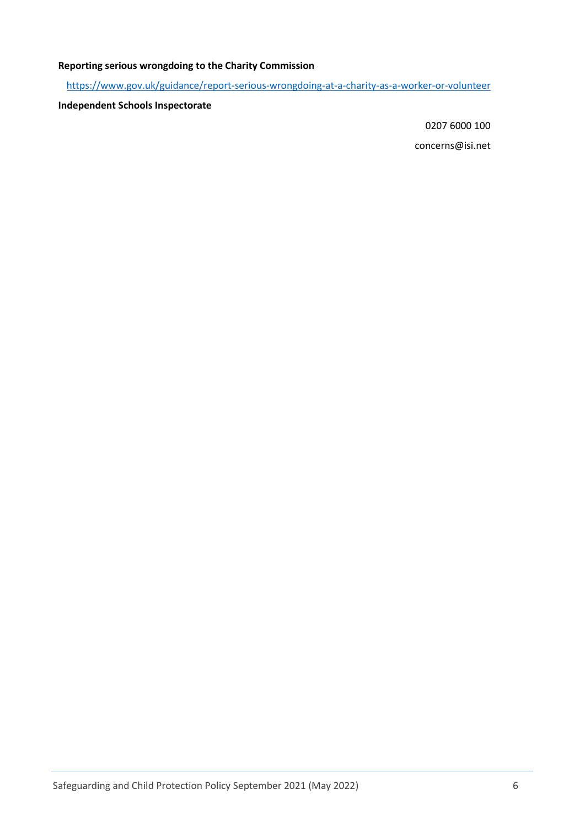## **Reporting serious wrongdoing to the Charity Commission**

<https://www.gov.uk/guidance/report-serious-wrongdoing-at-a-charity-as-a-worker-or-volunteer>

### **Independent Schools Inspectorate**

0207 6000 100

concerns@isi.net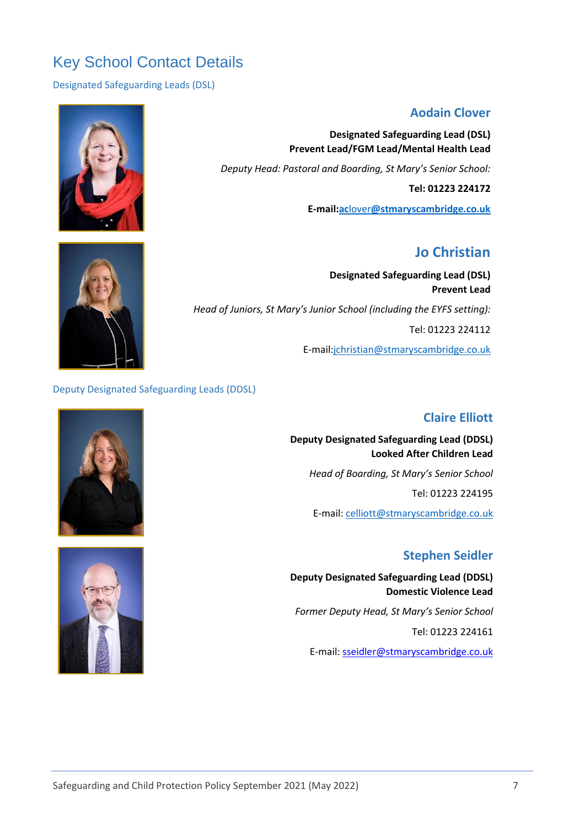# <span id="page-6-0"></span>Key School Contact Details

<span id="page-6-1"></span>Designated Safeguarding Leads (DSL)

## **Aodain Clover**

**Designated Safeguarding Lead (DSL) Prevent Lead/FGM Lead/Mental Health Lead**

*Deputy Head: Pastoral and Boarding, St Mary's Senior School:* 

**Tel: 01223 224172**

**E-mail:ac**lover**[@stmaryscambridge.co.uk](mailto:aclover@stmaryscambridge.co.uk)**

## **Jo Christian**

**Designated Safeguarding Lead (DSL) Prevent Lead** *Head of Juniors, St Mary's Junior School (including the EYFS setting):* Tel: 01223 224112 E-mail[:jchristian@stmaryscambridge.co.uk](mailto:jchristian@stmaryscambridge.co.uk)

#### <span id="page-6-2"></span>Deputy Designated Safeguarding Leads (DDSL)

## **Claire Elliott**

**Deputy Designated Safeguarding Lead (DDSL) Looked After Children Lead**  *Head of Boarding, St Mary's Senior School* Tel: 01223 224195 E-mail: [celliott@stmaryscambridge.co.uk](mailto:celliott@stmaryscambridge.co.uk)

## **Stephen Seidler**

**Deputy Designated Safeguarding Lead (DDSL) Domestic Violence Lead** *Former Deputy Head, St Mary's Senior School* Tel: 01223 224161 E-mail[: sseidler@stmaryscambridge.co.uk](mailto:sseidler@stmaryscambridge.co.uk)



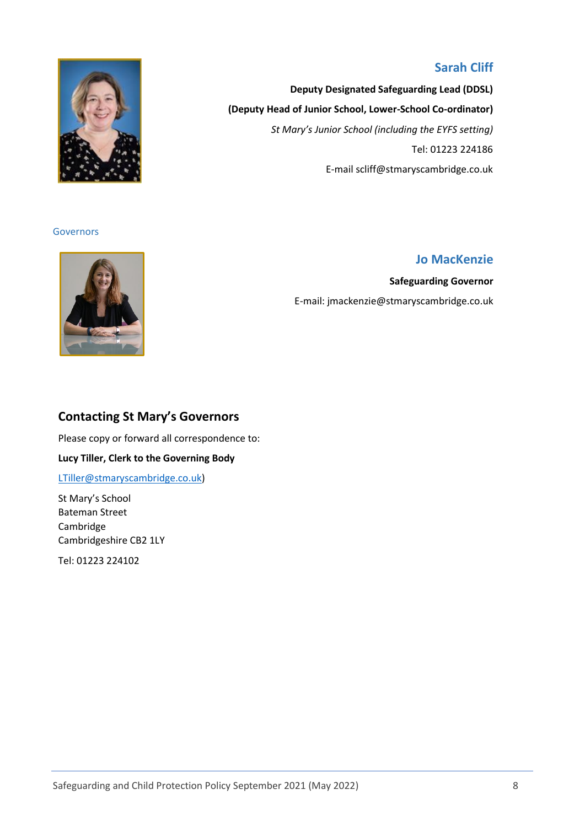## **Sarah Cliff**

**Deputy Designated Safeguarding Lead (DDSL) (Deputy Head of Junior School, Lower-School Co-ordinator)** *St Mary's Junior School (including the EYFS setting)* Tel: 01223 224186 E-mail scliff@stmaryscambridge.co.uk

<span id="page-7-0"></span>

## **Jo MacKenzie**

**Safeguarding Governor** E-mail: jmackenzie@stmaryscambridge.co.uk



## **Contacting St Mary's Governors**

Please copy or forward all correspondence to:

**Lucy Tiller, Clerk to the Governing Body**

[LTiller@stmaryscambridge.co.uk\)](mailto:LTiller@stmaryscambridge.co.uk)

St Mary's School Bateman Street Cambridge Cambridgeshire CB2 1LY

Tel: 01223 224102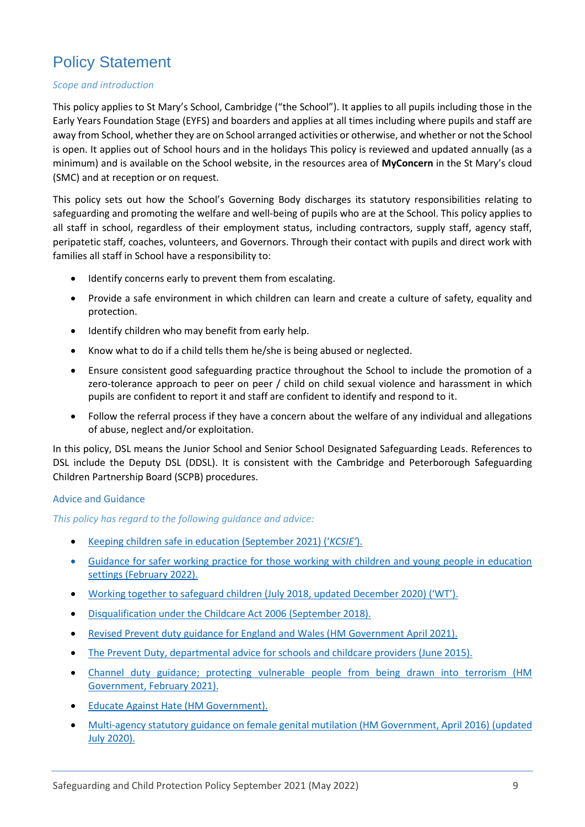# <span id="page-8-0"></span>Policy Statement

### *Scope and introduction*

This policy applies to St Mary's School, Cambridge ("the School"). It applies to all pupils including those in the Early Years Foundation Stage (EYFS) and boarders and applies at all times including where pupils and staff are away from School, whether they are on School arranged activities or otherwise, and whether or not the School is open. It applies out of School hours and in the holidays This policy is reviewed and updated annually (as a minimum) and is available on the School website, in the resources area of **MyConcern** in the St Mary's cloud (SMC) and at reception or on request.

This policy sets out how the School's Governing Body discharges its statutory responsibilities relating to safeguarding and promoting the welfare and well-being of pupils who are at the School. This policy applies to all staff in school, regardless of their employment status, including contractors, supply staff, agency staff, peripatetic staff, coaches, volunteers, and Governors. Through their contact with pupils and direct work with families all staff in School have a responsibility to:

- Identify concerns early to prevent them from escalating.
- Provide a safe environment in which children can learn and create a culture of safety, equality and protection.
- Identify children who may benefit from early help.
- Know what to do if a child tells them he/she is being abused or neglected.
- Ensure consistent good safeguarding practice throughout the School to include the promotion of a zero-tolerance approach to peer on peer / child on child sexual violence and harassment in which pupils are confident to report it and staff are confident to identify and respond to it.
- Follow the referral process if they have a concern about the welfare of any individual and allegations of abuse, neglect and/or exploitation.

In this policy, DSL means the Junior School and Senior School Designated Safeguarding Leads. References to DSL include the Deputy DSL (DDSL). It is consistent with the Cambridge and Peterborough Safeguarding Children Partnership Board (SCPB) procedures.

#### <span id="page-8-1"></span>Advice and Guidance

*This policy has regard to the following guidance and advice:*

- [Keeping children safe](https://www.gov.uk/government/publications/keeping-children-safe-in-education--2) in education (September 2021) ('*KCSIE'*).
- Guidance for safer working practice for those working with children and young people in education settings (February 2022).
- Working together to safeguard children (July 2018, [updated December 2020\)](https://www.gov.uk/government/publications/working-together-to-safeguard-children--2) ('WT').
- Disqualification under [the Childcare Act 2006](https://www.gov.uk/government/publications/disqualification-under-the-childcare-act-2006) (September 2018).
- Revised Prevent duty guidance [for England and Wales \(HM Government April 2021\).](https://www.gov.uk/government/publications/prevent-duty-guidance/revised-prevent-duty-guidance-for-england-and-wales)
- [The Prevent Duty, departmental advice for schools and childcare providers](https://www.gov.uk/government/publications/prevent-duty-guidance) (June 2015).
- [Channel duty guidance; protecting vulnerable](https://www.gov.uk/government/publications/channel-and-prevent-multi-agency-panel-pmap-guidance) people from being drawn into terrorism (HM [Government, February 2021\).](https://www.gov.uk/government/publications/channel-and-prevent-multi-agency-panel-pmap-guidance)
- [Educate Against Hate \(HM Government\).](https://educateagainsthate.com/)
- [Multi-agency statutory guidance on female genital mutilation \(HM Government, April 2016\)](https://www.gov.uk/government/publications/multi-agency-statutory-guidance-on-female-genital-mutilation) (updated [July 2020\).](https://www.gov.uk/government/publications/multi-agency-statutory-guidance-on-female-genital-mutilation)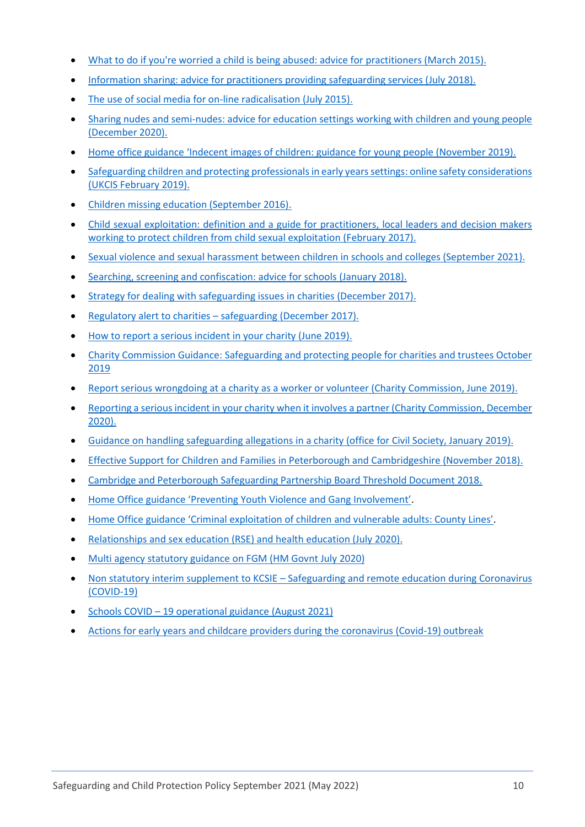- [What to do if you're worried a child is being abused: advice for practitioners \(March 2015\).](https://assets.publishing.service.gov.uk/government/uploads/system/uploads/attachment_data/file/419604/What_to_do_if_you_re_worried_a_child_is_being_abused.pdf)
- [Information sharing: advice for practitioners providing safeguarding services \(July 2018\).](https://www.gov.uk/government/publications/safeguarding-practitioners-information-sharing-advice)
- [The use of social media for on-line radicalisation \(July 2015\).](https://www.gov.uk/government/publications/the-use-of-social-media-for-online-radicalisation)
- [Sharing nudes and semi-nudes: advice for education](https://www.gov.uk/government/publications/sharing-nudes-and-semi-nudes-advice-for-education-settings-working-with-children-and-young-people/sharing-nudes-and-semi-nudes-advice-for-education-settings-working-with-children-and-young-people) settings working with children and young people [\(December 2020\).](https://www.gov.uk/government/publications/sharing-nudes-and-semi-nudes-advice-for-education-settings-working-with-children-and-young-people/sharing-nudes-and-semi-nudes-advice-for-education-settings-working-with-children-and-young-people)
- Home office guidance 'Indecent images of children: guidance for young people (November 2019).
- Safeguarding children and protecting professionals in early years settings: online safety considerations (UKCIS February 2019).
- [Children missing education \(September 2016\).](https://www.gov.uk/government/publications/children-missing-education)
- [Child sexual exploitation: definition and a guide for practitioners,](https://www.gov.uk/government/publications/child-sexual-exploitation-definition-and-guide-for-practitioners) local leaders and decision makers [working to protect children from child sexual exploitation \(February 2017\).](https://www.gov.uk/government/publications/child-sexual-exploitation-definition-and-guide-for-practitioners)
- [Sexual violence and sexual harassment between children in schools and colleges \(September 2021\).](https://www.gov.uk/government/publications/sexual-violence-and-sexual-harassment-between-children-in-schools-and-colleges)
- [Searching, screening and confiscation: advice for schools](https://www.gov.uk/government/publications/searching-screening-and-confiscation) (January 2018).
- [Strategy for dealing with safeguarding issues in charities \(December 2017\).](https://www.gov.uk/government/publications/strategy-for-dealing-with-safeguarding-issues-in-charities/strategy-for-dealing-with-safeguarding-issues-in-charities)
- Regulatory alert to charities [safeguarding \(December 2017\).](https://www.gov.uk/government/news/regulatory-alert-to-charities-safeguarding)
- [How to report a serious incident in your charity \(June 2019\).](https://www.gov.uk/guidance/how-to-report-a-serious-incident-in-your-charity)
- Charity Commission Guidance: Safeguarding and protecting people for charities and trustees October 2019
- [Report serious wrongdoing at a charity as a worker or volunteer \(Charity Commission, June 2019\).](https://www.gov.uk/guidance/report-serious-wrongdoing-at-a-charity-as-a-worker-or-volunteer)
- [Reporting a serious incident in your charity when it involves a partner \(Charity Commission, December](https://www.gov.uk/guidance/reporting-a-serious-incident-in-your-charity-when-it-involves-a-partner)  [2020\).](https://www.gov.uk/guidance/reporting-a-serious-incident-in-your-charity-when-it-involves-a-partner)
- [Guidance on handling safeguarding allegations in a charity \(office for Civil Society, January 2019\).](https://safeguarding.culture.gov.uk/handling-safeguarding-allegations-charity)
- Effective Support for Children [and Families in Peterborough and Cambridgeshire \(November 2018\).](https://www.safeguardingcambspeterborough.org.uk/wp-content/uploads/2018/11/Effective-Support-for-Children-and-Families-Thresholds-Document.pdf)
- [Cambridge and Peterborough Safeguarding Partnership Board Threshold Document 2018.](https://www.safeguardingcambspeterborough.org.uk/children-board/professionals/procedures/threshold-document/)
- Home Office guidance '[Preventing Youth Violence and Gang I](https://assets.publishing.service.gov.uk/government/uploads/system/uploads/attachment_data/file/418131/Preventing_youth_violence_and_gang_involvement_v3_March2015.pdf)nvolvement'.
- [Home Office guidance 'Criminal exploitation of children and v](https://www.gov.uk/government/publications/criminal-exploitation-of-children-and-vulnerable-adults-county-lines/criminal-exploitation-of-children-and-vulnerable-adults-county-lines)ulnerable adults: County Lines'.
- [Relationships and sex education \(RSE\) and health education \(July 2020\).](https://www.gov.uk/government/publications/relationships-education-relationships-and-sex-education-rse-and-health-education)
- [Multi agency statutory guidance on FGM \(HM Govnt July 2020\)](https://www.gov.uk/government/publications/multi-agency-statutory-guidance-on-female-genital-mutilation)
- Non statutory interim supplement to KCSIE Safeguarding and remote education during Coronavirus (COVID-19)
- Schools COVID 19 operational guidance (August 2021)
- Actions for early years and childcare providers during the coronavirus (Covid-19) outbreak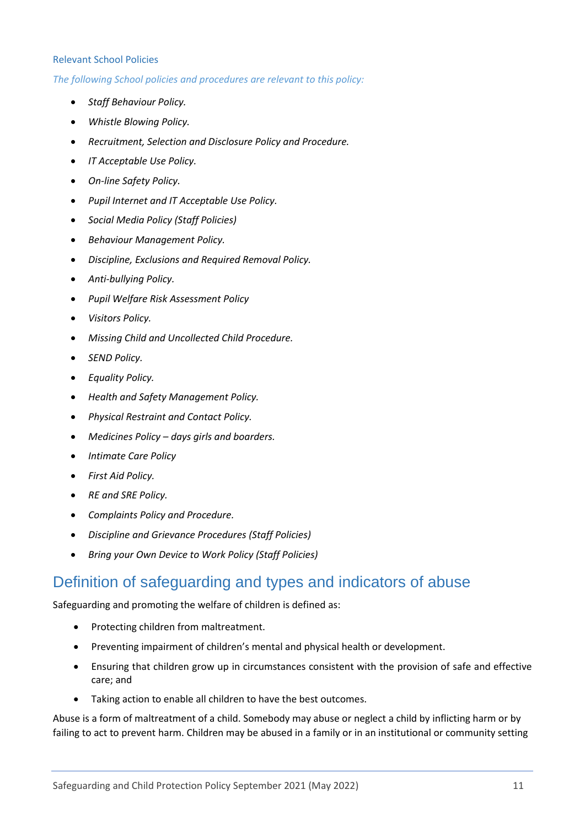#### <span id="page-10-0"></span>Relevant School Policies

*The following School policies and procedures are relevant to this policy:*

- *Staff Behaviour Policy.*
- *Whistle Blowing Policy.*
- *Recruitment, Selection and Disclosure Policy and Procedure.*
- *IT Acceptable Use Policy.*
- *On-line Safety Policy.*
- *Pupil Internet and IT Acceptable Use Policy.*
- *Social Media Policy (Staff Policies)*
- *Behaviour Management Policy.*
- *Discipline, Exclusions and Required Removal Policy.*
- *Anti-bullying Policy.*
- *Pupil Welfare Risk Assessment Policy*
- *Visitors Policy.*
- *Missing Child and Uncollected Child Procedure.*
- *SEND Policy.*
- *Equality Policy.*
- *Health and Safety Management Policy.*
- *Physical Restraint and Contact Policy.*
- *Medicines Policy – days girls and boarders.*
- *Intimate Care Policy*
- *First Aid Policy.*
- *RE and SRE Policy.*
- *Complaints Policy and Procedure.*
- *Discipline and Grievance Procedures (Staff Policies)*
- *Bring your Own Device to Work Policy (Staff Policies)*

## <span id="page-10-1"></span>Definition of safeguarding and types and indicators of abuse

Safeguarding and promoting the welfare of children is defined as:

- Protecting children from maltreatment.
- Preventing impairment of children's mental and physical health or development.
- Ensuring that children grow up in circumstances consistent with the provision of safe and effective care; and
- Taking action to enable all children to have the best outcomes.

Abuse is a form of maltreatment of a child. Somebody may abuse or neglect a child by inflicting harm or by failing to act to prevent harm. Children may be abused in a family or in an institutional or community setting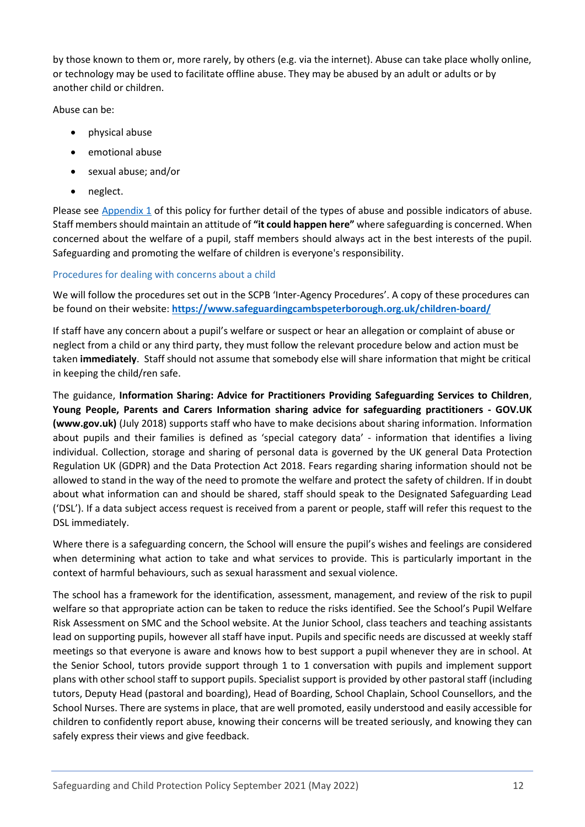by those known to them or, more rarely, by others (e.g. via the internet). Abuse can take place wholly online, or technology may be used to facilitate offline abuse. They may be abused by an adult or adults or by another child or children.

Abuse can be:

- physical abuse
- emotional abuse
- sexual abuse; and/or
- neglect.

Please see [Appendix 1](#page-36-3) of this policy for further detail of the types of abuse and possible indicators of abuse. Staff members should maintain an attitude of **"it could happen here"** where safeguarding is concerned. When concerned about the welfare of a pupil, staff members should always act in the best interests of the pupil. Safeguarding and promoting the welfare of children is everyone's responsibility.

### <span id="page-11-0"></span>Procedures for dealing with concerns about a child

We will follow the procedures set out in the SCPB 'Inter-Agency Procedures'. A copy of these procedures can be found on their website: **<https://www.safeguardingcambspeterborough.org.uk/children-board/>**

If staff have any concern about a pupil's welfare or suspect or hear an allegation or complaint of abuse or neglect from a child or any third party, they must follow the relevant procedure below and action must be taken **immediately**. Staff should not assume that somebody else will share information that might be critical in keeping the child/ren safe.

The guidance, **Information Sharing: Advice for Practitioners Providing Safeguarding Services to Children**, **Young People, Parents and Carers [Information sharing advice for safeguarding practitioners -](https://www.gov.uk/government/publications/safeguarding-practitioners-information-sharing-advice) GOV.UK [\(www.gov.uk\)](https://www.gov.uk/government/publications/safeguarding-practitioners-information-sharing-advice)** (July 2018) supports staff who have to make decisions about sharing information. Information about pupils and their families is defined as 'special category data' - information that identifies a living individual. Collection, storage and sharing of personal data is governed by the UK general Data Protection Regulation UK (GDPR) and the Data Protection Act 2018. Fears regarding sharing information should not be allowed to stand in the way of the need to promote the welfare and protect the safety of children. If in doubt about what information can and should be shared, staff should speak to the Designated Safeguarding Lead ('DSL'). If a data subject access request is received from a parent or people, staff will refer this request to the DSL immediately.

Where there is a safeguarding concern, the School will ensure the pupil's wishes and feelings are considered when determining what action to take and what services to provide. This is particularly important in the context of harmful behaviours, such as sexual harassment and sexual violence.

The school has a framework for the identification, assessment, management, and review of the risk to pupil welfare so that appropriate action can be taken to reduce the risks identified. See the School's Pupil Welfare Risk Assessment on SMC and the School website. At the Junior School, class teachers and teaching assistants lead on supporting pupils, however all staff have input. Pupils and specific needs are discussed at weekly staff meetings so that everyone is aware and knows how to best support a pupil whenever they are in school. At the Senior School, tutors provide support through 1 to 1 conversation with pupils and implement support plans with other school staff to support pupils. Specialist support is provided by other pastoral staff (including tutors, Deputy Head (pastoral and boarding), Head of Boarding, School Chaplain, School Counsellors, and the School Nurses. There are systems in place, that are well promoted, easily understood and easily accessible for children to confidently report abuse, knowing their concerns will be treated seriously, and knowing they can safely express their views and give feedback.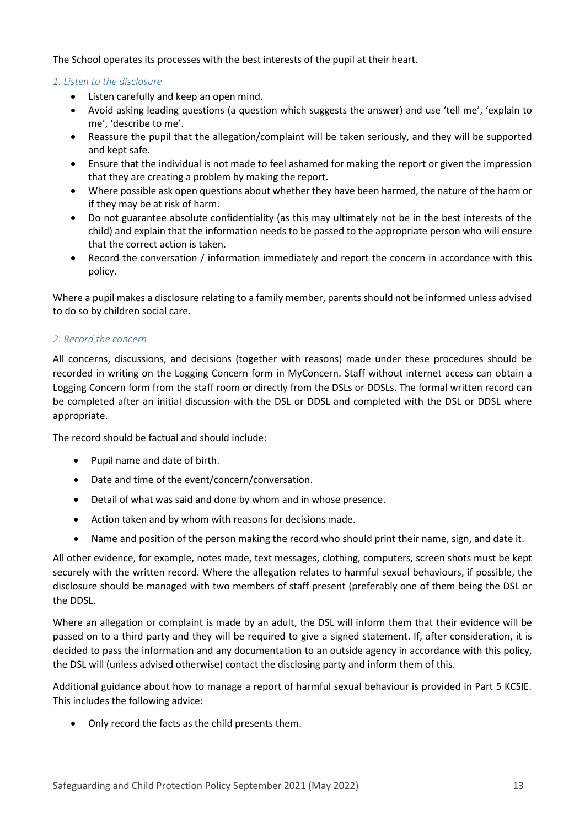The School operates its processes with the best interests of the pupil at their heart.

### *1. Listen to the disclosure*

- Listen carefully and keep an open mind.
- Avoid asking leading questions (a question which suggests the answer) and use 'tell me', 'explain to me', 'describe to me'.
- Reassure the pupil that the allegation/complaint will be taken seriously, and they will be supported and kept safe.
- Ensure that the individual is not made to feel ashamed for making the report or given the impression that they are creating a problem by making the report.
- Where possible ask open questions about whether they have been harmed, the nature of the harm or if they may be at risk of harm.
- Do not guarantee absolute confidentiality (as this may ultimately not be in the best interests of the child) and explain that the information needs to be passed to the appropriate person who will ensure that the correct action is taken.
- Record the conversation / information immediately and report the concern in accordance with this policy.

Where a pupil makes a disclosure relating to a family member, parents should not be informed unless advised to do so by children social care.

### *2. Record the concern*

All concerns, discussions, and decisions (together with reasons) made under these procedures should be recorded in writing on the Logging Concern form in MyConcern. Staff without internet access can obtain a Logging Concern form from the staff room or directly from the DSLs or DDSLs. The formal written record can be completed after an initial discussion with the DSL or DDSL and completed with the DSL or DDSL where appropriate.

The record should be factual and should include:

- Pupil name and date of birth.
- Date and time of the event/concern/conversation.
- Detail of what was said and done by whom and in whose presence.
- Action taken and by whom with reasons for decisions made.
- Name and position of the person making the record who should print their name, sign, and date it.

All other evidence, for example, notes made, text messages, clothing, computers, screen shots must be kept securely with the written record. Where the allegation relates to harmful sexual behaviours, if possible, the disclosure should be managed with two members of staff present (preferably one of them being the DSL or the DDSL.

Where an allegation or complaint is made by an adult, the DSL will inform them that their evidence will be passed on to a third party and they will be required to give a signed statement. If, after consideration, it is decided to pass the information and any documentation to an outside agency in accordance with this policy, the DSL will (unless advised otherwise) contact the disclosing party and inform them of this.

Additional guidance about how to manage a report of harmful sexual behaviour is provided in Part 5 KCSIE. This includes the following advice:

• Only record the facts as the child presents them.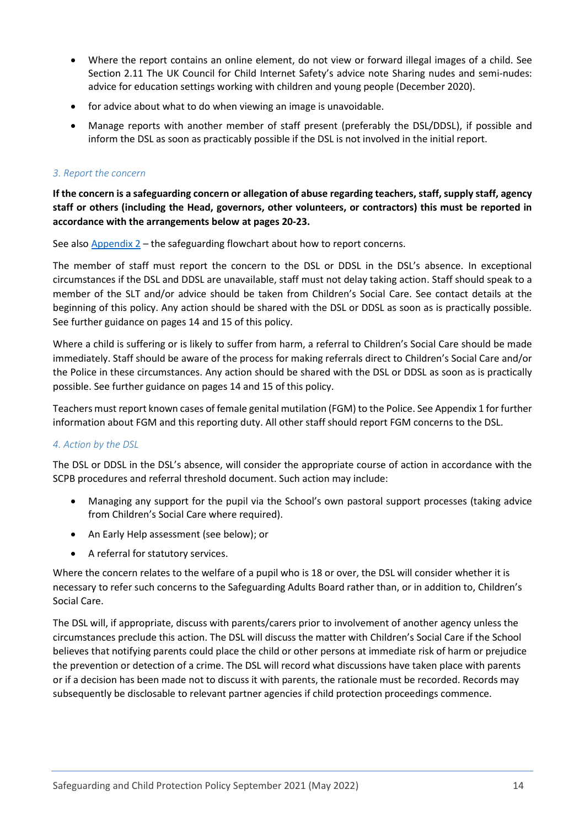- Where the report contains an online element, do not view or forward illegal images of a child. See Section 2.11 The UK Council for Child Internet Safety's advice note Sharing nudes and semi-nudes: advice for education settings working with children and young people (December 2020).
- for advice about what to do when viewing an image is unavoidable.
- Manage reports with another member of staff present (preferably the DSL/DDSL), if possible and inform the DSL as soon as practicably possible if the DSL is not involved in the initial report.

### *3. Report the concern*

**If the concern is a safeguarding concern or allegation of abuse regarding teachers, staff, supply staff, agency staff or others (including the Head, governors, other volunteers, or contractors) this must be reported in accordance with the arrangements below at pages 20-23.**

See also  $\Delta$ ppendix  $2$  – the safeguarding flowchart about how to report concerns.

The member of staff must report the concern to the DSL or DDSL in the DSL's absence. In exceptional circumstances if the DSL and DDSL are unavailable, staff must not delay taking action. Staff should speak to a member of the SLT and/or advice should be taken from Children's Social Care. See contact details at the beginning of this policy. Any action should be shared with the DSL or DDSL as soon as is practically possible. See further guidance on pages 14 and 15 of this policy.

Where a child is suffering or is likely to suffer from harm, a referral to Children's Social Care should be made immediately. Staff should be aware of the process for making referrals direct to Children's Social Care and/or the Police in these circumstances. Any action should be shared with the DSL or DDSL as soon as is practically possible. See further guidance on pages 14 and 15 of this policy.

Teachers must report known cases of female genital mutilation (FGM) to the Police. See Appendix 1 for further information about FGM and this reporting duty. All other staff should report FGM concerns to the DSL.

### *4. Action by the DSL*

The DSL or DDSL in the DSL's absence, will consider the appropriate course of action in accordance with the SCPB procedures and referral threshold document. Such action may include:

- Managing any support for the pupil via the School's own pastoral support processes (taking advice from Children's Social Care where required).
- An Early Help assessment (see below); or
- A referral for statutory services.

Where the concern relates to the welfare of a pupil who is 18 or over, the DSL will consider whether it is necessary to refer such concerns to the Safeguarding Adults Board rather than, or in addition to, Children's Social Care.

The DSL will, if appropriate, discuss with parents/carers prior to involvement of another agency unless the circumstances preclude this action. The DSL will discuss the matter with Children's Social Care if the School believes that notifying parents could place the child or other persons at immediate risk of harm or prejudice the prevention or detection of a crime. The DSL will record what discussions have taken place with parents or if a decision has been made not to discuss it with parents, the rationale must be recorded. Records may subsequently be disclosable to relevant partner agencies if child protection proceedings commence.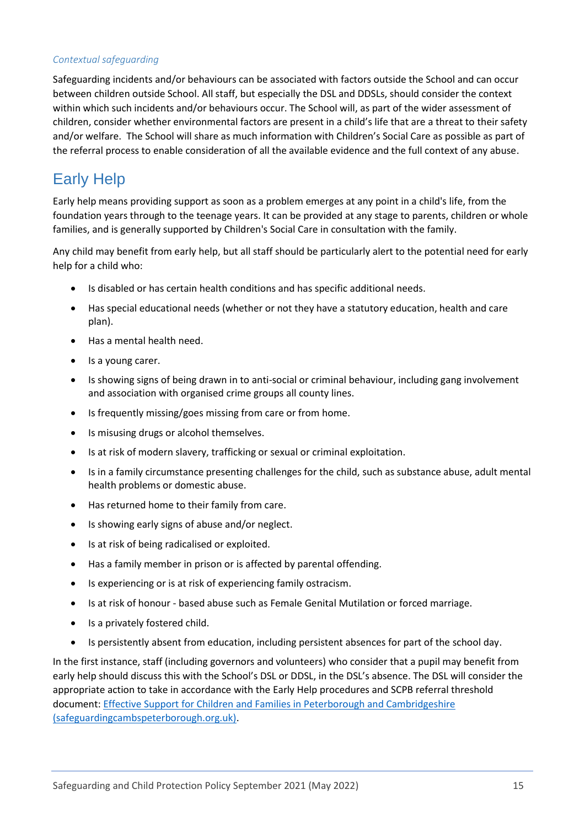### *Contextual safeguarding*

Safeguarding incidents and/or behaviours can be associated with factors outside the School and can occur between children outside School. All staff, but especially the DSL and DDSLs, should consider the context within which such incidents and/or behaviours occur. The School will, as part of the wider assessment of children, consider whether environmental factors are present in a child's life that are a threat to their safety and/or welfare. The School will share as much information with Children's Social Care as possible as part of the referral process to enable consideration of all the available evidence and the full context of any abuse.

## <span id="page-14-0"></span>Early Help

Early help means providing support as soon as a problem emerges at any point in a child's life, from the foundation years through to the teenage years. It can be provided at any stage to parents, children or whole families, and is generally supported by Children's Social Care in consultation with the family.

Any child may benefit from early help, but all staff should be particularly alert to the potential need for early help for a child who:

- Is disabled or has certain health conditions and has specific additional needs.
- Has special educational needs (whether or not they have a statutory education, health and care plan).
- Has a mental health need.
- Is a young carer.
- Is showing signs of being drawn in to anti-social or criminal behaviour, including gang involvement and association with organised crime groups all county lines.
- Is frequently missing/goes missing from care or from home.
- Is misusing drugs or alcohol themselves.
- Is at risk of modern slavery, trafficking or sexual or criminal exploitation.
- Is in a family circumstance presenting challenges for the child, such as substance abuse, adult mental health problems or domestic abuse.
- Has returned home to their family from care.
- Is showing early signs of abuse and/or neglect.
- Is at risk of being radicalised or exploited.
- Has a family member in prison or is affected by parental offending.
- Is experiencing or is at risk of experiencing family ostracism.
- Is at risk of honour based abuse such as Female Genital Mutilation or forced marriage.
- Is a privately fostered child.
- Is persistently absent from education, including persistent absences for part of the school day.

In the first instance, staff (including governors and volunteers) who consider that a pupil may benefit from early help should discuss this with the School's DSL or DDSL, in the DSL's absence. The DSL will consider the appropriate action to take in accordance with the Early Help procedures and SCPB referral threshold document: [Effective Support for Children and Families in Peterborough and Cambridgeshire](https://www.safeguardingcambspeterborough.org.uk/wp-content/uploads/2018/11/Effective-Support-for-Children-and-Families-Thresholds-Document.pdf)  [\(safeguardingcambspeterborough.org.uk\).](https://www.safeguardingcambspeterborough.org.uk/wp-content/uploads/2018/11/Effective-Support-for-Children-and-Families-Thresholds-Document.pdf)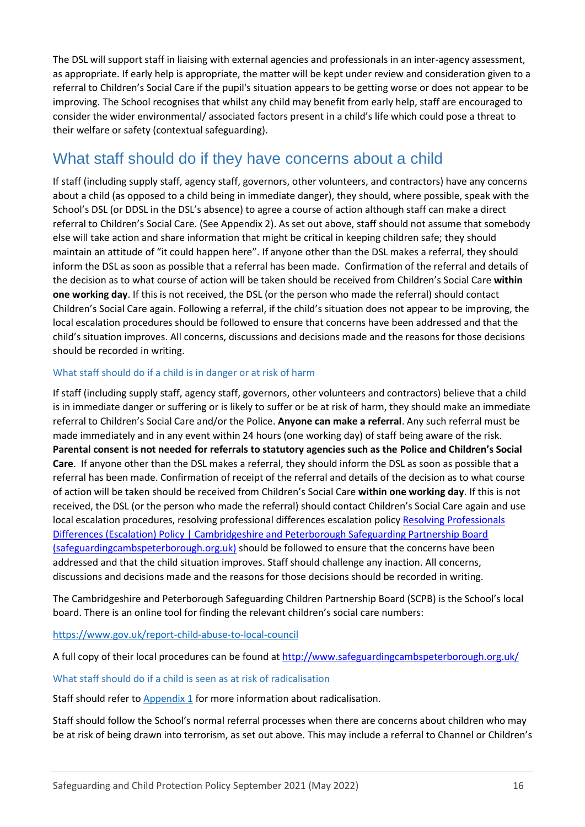The DSL will support staff in liaising with external agencies and professionals in an inter-agency assessment, as appropriate. If early help is appropriate, the matter will be kept under review and consideration given to a referral to Children's Social Care if the pupil's situation appears to be getting worse or does not appear to be improving. The School recognises that whilst any child may benefit from early help, staff are encouraged to consider the wider environmental/ associated factors present in a child's life which could pose a threat to their welfare or safety (contextual safeguarding).

## <span id="page-15-0"></span>What staff should do if they have concerns about a child

If staff (including supply staff, agency staff, governors, other volunteers, and contractors) have any concerns about a child (as opposed to a child being in immediate danger), they should, where possible, speak with the School's DSL (or DDSL in the DSL's absence) to agree a course of action although staff can make a direct referral to Children's Social Care. (See Appendix 2). As set out above, staff should not assume that somebody else will take action and share information that might be critical in keeping children safe; they should maintain an attitude of "it could happen here". If anyone other than the DSL makes a referral, they should inform the DSL as soon as possible that a referral has been made. Confirmation of the referral and details of the decision as to what course of action will be taken should be received from Children's Social Care **within one working day**. If this is not received, the DSL (or the person who made the referral) should contact Children's Social Care again. Following a referral, if the child's situation does not appear to be improving, the local escalation procedures should be followed to ensure that concerns have been addressed and that the child's situation improves. All concerns, discussions and decisions made and the reasons for those decisions should be recorded in writing.

## <span id="page-15-1"></span>What staff should do if a child is in danger or at risk of harm

If staff (including supply staff, agency staff, governors, other volunteers and contractors) believe that a child is in immediate danger or suffering or is likely to suffer or be at risk of harm, they should make an immediate referral to Children's Social Care and/or the Police. **Anyone can make a referral**. Any such referral must be made immediately and in any event within 24 hours (one working day) of staff being aware of the risk. **Parental consent is not needed for referrals to statutory agencies such as the Police and Children's Social Care**. If anyone other than the DSL makes a referral, they should inform the DSL as soon as possible that a referral has been made. Confirmation of receipt of the referral and details of the decision as to what course of action will be taken should be received from Children's Social Care **within one working day**. If this is not received, the DSL (or the person who made the referral) should contact Children's Social Care again and use local escalation procedures, resolving professional differences escalation policy Resolving Professionals [Differences \(Escalation\) Policy | Cambridgeshire and Peterborough Safeguarding Partnership Board](https://www.safeguardingcambspeterborough.org.uk/children-board/professionals/procedures/escalation_policy/)  [\(safeguardingcambspeterborough.org.uk\)](https://www.safeguardingcambspeterborough.org.uk/children-board/professionals/procedures/escalation_policy/) should be followed to ensure that the concerns have been addressed and that the child situation improves. Staff should challenge any inaction. All concerns, discussions and decisions made and the reasons for those decisions should be recorded in writing.

The Cambridgeshire and Peterborough Safeguarding Children Partnership Board (SCPB) is the School's local board. There is an online tool for finding the relevant children's social care numbers:

<https://www.gov.uk/report-child-abuse-to-local-council>

A full copy of their local procedures can be found at<http://www.safeguardingcambspeterborough.org.uk/>

#### <span id="page-15-2"></span>What staff should do if a child is seen as at risk of radicalisation

Staff should refer to [Appendix 1](#page-36-3) for more information about radicalisation.

Staff should follow the School's normal referral processes when there are concerns about children who may be at risk of being drawn into terrorism, as set out above. This may include a referral to Channel or Children's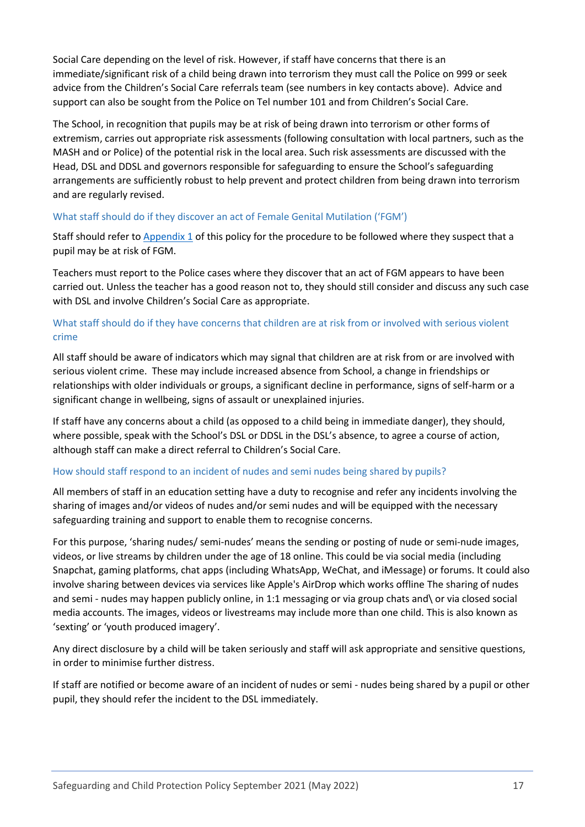Social Care depending on the level of risk. However, if staff have concerns that there is an immediate/significant risk of a child being drawn into terrorism they must call the Police on 999 or seek advice from the Children's Social Care referrals team (see numbers in key contacts above). Advice and support can also be sought from the Police on Tel number 101 and from Children's Social Care.

The School, in recognition that pupils may be at risk of being drawn into terrorism or other forms of extremism, carries out appropriate risk assessments (following consultation with local partners, such as the MASH and or Police) of the potential risk in the local area. Such risk assessments are discussed with the Head, DSL and DDSL and governors responsible for safeguarding to ensure the School's safeguarding arrangements are sufficiently robust to help prevent and protect children from being drawn into terrorism and are regularly revised.

## <span id="page-16-0"></span>What staff should do if they discover an act of Female Genital Mutilation ('FGM')

Staff should refer to [Appendix 1](#page-36-3) of this policy for the procedure to be followed where they suspect that a pupil may be at risk of FGM.

Teachers must report to the Police cases where they discover that an act of FGM appears to have been carried out. Unless the teacher has a good reason not to, they should still consider and discuss any such case with DSL and involve Children's Social Care as appropriate.

## <span id="page-16-1"></span>What staff should do if they have concerns that children are at risk from or involved with serious violent crime

All staff should be aware of indicators which may signal that children are at risk from or are involved with serious violent crime. These may include increased absence from School, a change in friendships or relationships with older individuals or groups, a significant decline in performance, signs of self-harm or a significant change in wellbeing, signs of assault or unexplained injuries.

If staff have any concerns about a child (as opposed to a child being in immediate danger), they should, where possible, speak with the School's DSL or DDSL in the DSL's absence, to agree a course of action, although staff can make a direct referral to Children's Social Care.

### <span id="page-16-2"></span>How should staff respond to an incident of nudes and semi nudes being shared by pupils?

All members of staff in an education setting have a duty to recognise and refer any incidents involving the sharing of images and/or videos of nudes and/or semi nudes and will be equipped with the necessary safeguarding training and support to enable them to recognise concerns.

For this purpose, 'sharing nudes/ semi-nudes' means the sending or posting of nude or semi-nude images, videos, or live streams by children under the age of 18 online. This could be via social media (including Snapchat, gaming platforms, chat apps (including WhatsApp, WeChat, and iMessage) or forums. It could also involve sharing between devices via services like Apple's AirDrop which works offline The sharing of nudes and semi - nudes may happen publicly online, in 1:1 messaging or via group chats and \ or via closed social media accounts. The images, videos or livestreams may include more than one child. This is also known as 'sexting' or 'youth produced imagery'.

Any direct disclosure by a child will be taken seriously and staff will ask appropriate and sensitive questions, in order to minimise further distress.

If staff are notified or become aware of an incident of nudes or semi - nudes being shared by a pupil or other pupil, they should refer the incident to the DSL immediately.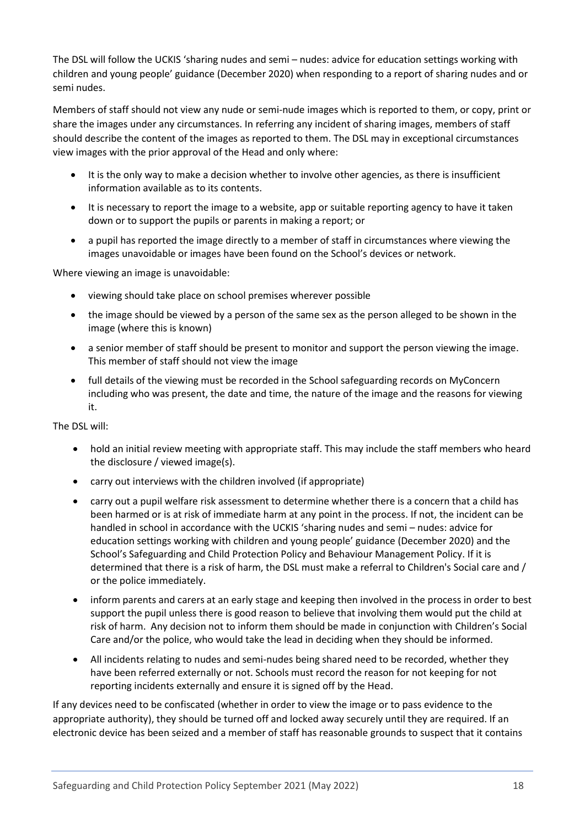The DSL will follow the UCKIS 'sharing nudes and semi – nudes: advice for education settings working with children and young people' guidance (December 2020) when responding to a report of sharing nudes and or semi nudes.

Members of staff should not view any nude or semi-nude images which is reported to them, or copy, print or share the images under any circumstances. In referring any incident of sharing images, members of staff should describe the content of the images as reported to them. The DSL may in exceptional circumstances view images with the prior approval of the Head and only where:

- It is the only way to make a decision whether to involve other agencies, as there is insufficient information available as to its contents.
- It is necessary to report the image to a website, app or suitable reporting agency to have it taken down or to support the pupils or parents in making a report; or
- a pupil has reported the image directly to a member of staff in circumstances where viewing the images unavoidable or images have been found on the School's devices or network.

Where viewing an image is unavoidable:

- viewing should take place on school premises wherever possible
- the image should be viewed by a person of the same sex as the person alleged to be shown in the image (where this is known)
- a senior member of staff should be present to monitor and support the person viewing the image. This member of staff should not view the image
- full details of the viewing must be recorded in the School safeguarding records on MyConcern including who was present, the date and time, the nature of the image and the reasons for viewing it.

The DSL will:

- hold an initial review meeting with appropriate staff. This may include the staff members who heard the disclosure / viewed image(s).
- carry out interviews with the children involved (if appropriate)
- carry out a pupil welfare risk assessment to determine whether there is a concern that a child has been harmed or is at risk of immediate harm at any point in the process. If not, the incident can be handled in school in accordance with the UCKIS 'sharing nudes and semi – nudes: advice for education settings working with children and young people' guidance (December 2020) and the School's Safeguarding and Child Protection Policy and Behaviour Management Policy. If it is determined that there is a risk of harm, the DSL must make a referral to Children's Social care and / or the police immediately.
- inform parents and carers at an early stage and keeping then involved in the process in order to best support the pupil unless there is good reason to believe that involving them would put the child at risk of harm. Any decision not to inform them should be made in conjunction with Children's Social Care and/or the police, who would take the lead in deciding when they should be informed.
- All incidents relating to nudes and semi-nudes being shared need to be recorded, whether they have been referred externally or not. Schools must record the reason for not keeping for not reporting incidents externally and ensure it is signed off by the Head.

If any devices need to be confiscated (whether in order to view the image or to pass evidence to the appropriate authority), they should be turned off and locked away securely until they are required. If an electronic device has been seized and a member of staff has reasonable grounds to suspect that it contains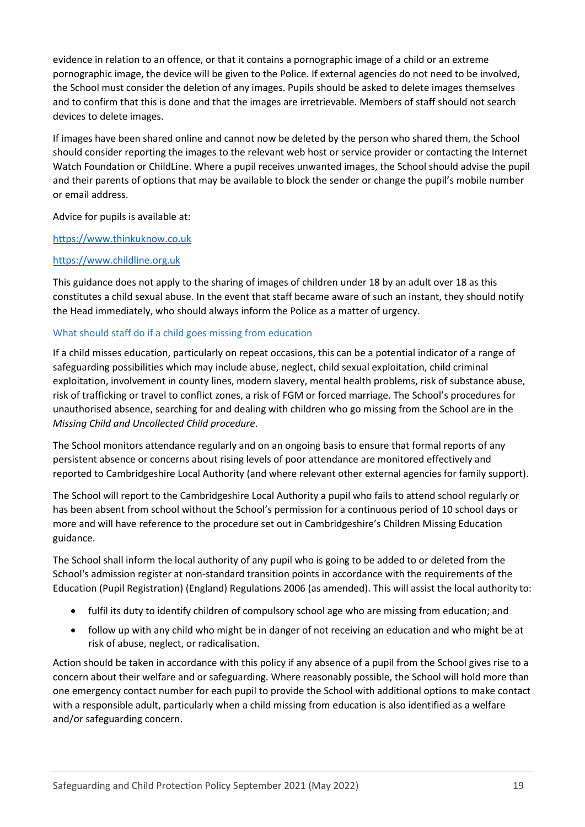evidence in relation to an offence, or that it contains a pornographic image of a child or an extreme pornographic image, the device will be given to the Police. If external agencies do not need to be involved, the School must consider the deletion of any images. Pupils should be asked to delete images themselves and to confirm that this is done and that the images are irretrievable. Members of staff should not search devices to delete images.

If images have been shared online and cannot now be deleted by the person who shared them, the School should consider reporting the images to the relevant web host or service provider or contacting the Internet Watch Foundation or ChildLine. Where a pupil receives unwanted images, the School should advise the pupil and their parents of options that may be available to block the sender or change the pupil's mobile number or email address.

Advice for pupils is available at:

### [https://www.thinkuknow.co.uk](https://www.thinkuknow.co.uk/)

### [https://www.childline.org.uk](https://www.childline.org.uk/)

This guidance does not apply to the sharing of images of children under 18 by an adult over 18 as this constitutes a child sexual abuse. In the event that staff became aware of such an instant, they should notify the Head immediately, who should always inform the Police as a matter of urgency.

### <span id="page-18-0"></span>What should staff do if a child goes missing from education

If a child misses education, particularly on repeat occasions, this can be a potential indicator of a range of safeguarding possibilities which may include abuse, neglect, child sexual exploitation, child criminal exploitation, involvement in county lines, modern slavery, mental health problems, risk of substance abuse, risk of trafficking or travel to conflict zones, a risk of FGM or forced marriage. The School's procedures for unauthorised absence, searching for and dealing with children who go missing from the School are in the *Missing Child and Uncollected Child procedure*.

The School monitors attendance regularly and on an ongoing basis to ensure that formal reports of any persistent absence or concerns about rising levels of poor attendance are monitored effectively and reported to Cambridgeshire Local Authority (and where relevant other external agencies for family support).

The School will report to the Cambridgeshire Local Authority a pupil who fails to attend school regularly or has been absent from school without the School's permission for a continuous period of 10 school days or more and will have reference to the procedure set out in Cambridgeshire's Children Missing Education guidance.

The School shall inform the local authority of any pupil who is going to be added to or deleted from the School's admission register at non-standard transition points in accordance with the requirements of the Education (Pupil Registration) (England) Regulations 2006 (as amended). This will assist the local authority to:

- fulfil its duty to identify children of compulsory school age who are missing from education; and
- follow up with any child who might be in danger of not receiving an education and who might be at risk of abuse, neglect, or radicalisation.

Action should be taken in accordance with this policy if any absence of a pupil from the School gives rise to a concern about their welfare and or safeguarding. Where reasonably possible, the School will hold more than one emergency contact number for each pupil to provide the School with additional options to make contact with a responsible adult, particularly when a child missing from education is also identified as a welfare and/or safeguarding concern.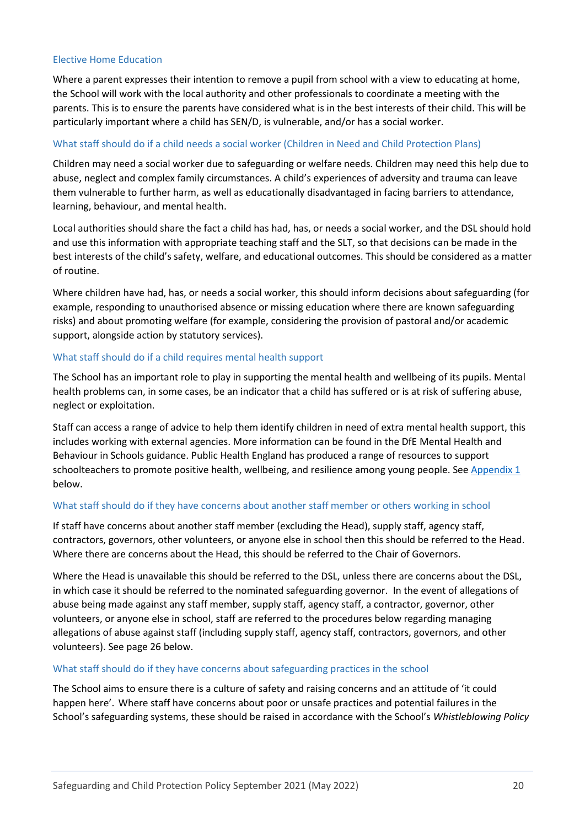#### <span id="page-19-0"></span>Elective Home Education

Where a parent expresses their intention to remove a pupil from school with a view to educating at home, the School will work with the local authority and other professionals to coordinate a meeting with the parents. This is to ensure the parents have considered what is in the best interests of their child. This will be particularly important where a child has SEN/D, is vulnerable, and/or has a social worker.

### <span id="page-19-1"></span>What staff should do if a child needs a social worker (Children in Need and Child Protection Plans)

Children may need a social worker due to safeguarding or welfare needs. Children may need this help due to abuse, neglect and complex family circumstances. A child's experiences of adversity and trauma can leave them vulnerable to further harm, as well as educationally disadvantaged in facing barriers to attendance, learning, behaviour, and mental health.

Local authorities should share the fact a child has had, has, or needs a social worker, and the DSL should hold and use this information with appropriate teaching staff and the SLT, so that decisions can be made in the best interests of the child's safety, welfare, and educational outcomes. This should be considered as a matter of routine.

Where children have had, has, or needs a social worker, this should inform decisions about safeguarding (for example, responding to unauthorised absence or missing education where there are known safeguarding risks) and about promoting welfare (for example, considering the provision of pastoral and/or academic support, alongside action by statutory services).

#### <span id="page-19-2"></span>What staff should do if a child requires mental health support

The School has an important role to play in supporting the mental health and wellbeing of its pupils. Mental health problems can, in some cases, be an indicator that a child has suffered or is at risk of suffering abuse, neglect or exploitation.

Staff can access a range of advice to help them identify children in need of extra mental health support, this includes working with external agencies. More information can be found in the DfE Mental Health and Behaviour in Schools guidance. Public Health England has produced a range of resources to support schoolteachers to promote positive health, wellbeing, and resilience among young people. See [Appendix 1](#page-36-3) below.

#### <span id="page-19-3"></span>What staff should do if they have concerns about another staff member or others working in school

If staff have concerns about another staff member (excluding the Head), supply staff, agency staff, contractors, governors, other volunteers, or anyone else in school then this should be referred to the Head. Where there are concerns about the Head, this should be referred to the Chair of Governors.

Where the Head is unavailable this should be referred to the DSL, unless there are concerns about the DSL, in which case it should be referred to the nominated safeguarding governor. In the event of allegations of abuse being made against any staff member, supply staff, agency staff, a contractor, governor, other volunteers, or anyone else in school, staff are referred to the procedures below regarding managing allegations of abuse against staff (including supply staff, agency staff, contractors, governors, and other volunteers). See page 26 below.

#### <span id="page-19-4"></span>What staff should do if they have concerns about safeguarding practices in the school

The School aims to ensure there is a culture of safety and raising concerns and an attitude of 'it could happen here'. Where staff have concerns about poor or unsafe practices and potential failures in the School's safeguarding systems, these should be raised in accordance with the School's *Whistleblowing Policy*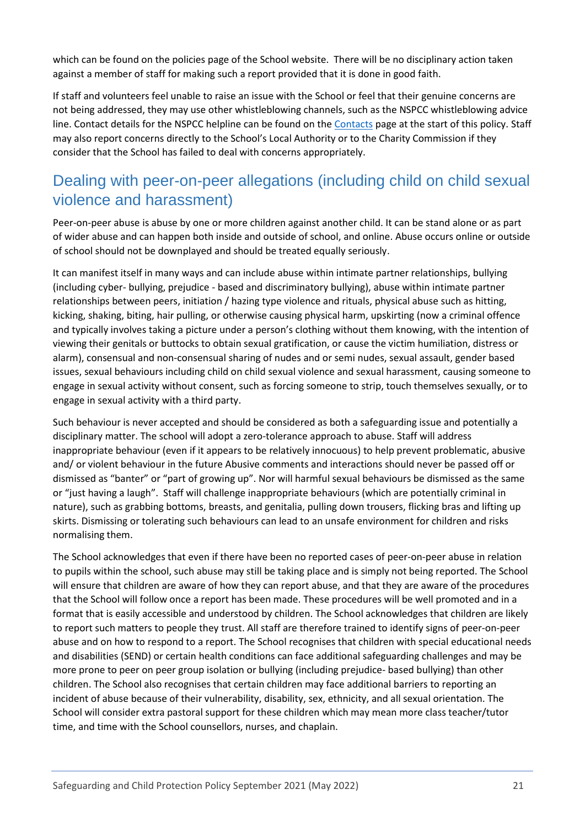which can be found on the policies page of the School website. There will be no disciplinary action taken against a member of staff for making such a report provided that it is done in good faith.

If staff and volunteers feel unable to raise an issue with the School or feel that their genuine concerns are not being addressed, they may use other whistleblowing channels, such as the NSPCC whistleblowing advice line. Contact details for the NSPCC helpline can be found on the [Contacts](#page-2-0) page at the start of this policy. Staff may also report concerns directly to the School's Local Authority or to the Charity Commission if they consider that the School has failed to deal with concerns appropriately.

# <span id="page-20-0"></span>Dealing with peer-on-peer allegations (including child on child sexual violence and harassment)

Peer-on-peer abuse is abuse by one or more children against another child. It can be stand alone or as part of wider abuse and can happen both inside and outside of school, and online. Abuse occurs online or outside of school should not be downplayed and should be treated equally seriously.

It can manifest itself in many ways and can include abuse within intimate partner relationships, bullying (including cyber- bullying, prejudice - based and discriminatory bullying), abuse within intimate partner relationships between peers, initiation / hazing type violence and rituals, physical abuse such as hitting, kicking, shaking, biting, hair pulling, or otherwise causing physical harm, upskirting (now a criminal offence and typically involves taking a picture under a person's clothing without them knowing, with the intention of viewing their genitals or buttocks to obtain sexual gratification, or cause the victim humiliation, distress or alarm), consensual and non-consensual sharing of nudes and or semi nudes, sexual assault, gender based issues, sexual behaviours including child on child sexual violence and sexual harassment, causing someone to engage in sexual activity without consent, such as forcing someone to strip, touch themselves sexually, or to engage in sexual activity with a third party.

Such behaviour is never accepted and should be considered as both a safeguarding issue and potentially a disciplinary matter. The school will adopt a zero-tolerance approach to abuse. Staff will address inappropriate behaviour (even if it appears to be relatively innocuous) to help prevent problematic, abusive and/ or violent behaviour in the future Abusive comments and interactions should never be passed off or dismissed as "banter" or "part of growing up". Nor will harmful sexual behaviours be dismissed as the same or "just having a laugh". Staff will challenge inappropriate behaviours (which are potentially criminal in nature), such as grabbing bottoms, breasts, and genitalia, pulling down trousers, flicking bras and lifting up skirts. Dismissing or tolerating such behaviours can lead to an unsafe environment for children and risks normalising them.

The School acknowledges that even if there have been no reported cases of peer-on-peer abuse in relation to pupils within the school, such abuse may still be taking place and is simply not being reported. The School will ensure that children are aware of how they can report abuse, and that they are aware of the procedures that the School will follow once a report has been made. These procedures will be well promoted and in a format that is easily accessible and understood by children. The School acknowledges that children are likely to report such matters to people they trust. All staff are therefore trained to identify signs of peer-on-peer abuse and on how to respond to a report. The School recognises that children with special educational needs and disabilities (SEND) or certain health conditions can face additional safeguarding challenges and may be more prone to peer on peer group isolation or bullying (including prejudice- based bullying) than other children. The School also recognises that certain children may face additional barriers to reporting an incident of abuse because of their vulnerability, disability, sex, ethnicity, and all sexual orientation. The School will consider extra pastoral support for these children which may mean more class teacher/tutor time, and time with the School counsellors, nurses, and chaplain.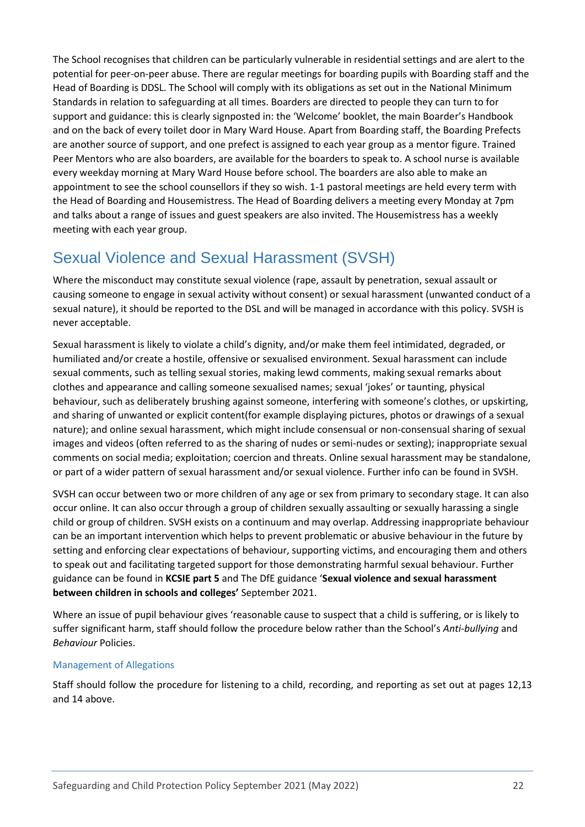The School recognises that children can be particularly vulnerable in residential settings and are alert to the potential for peer-on-peer abuse. There are regular meetings for boarding pupils with Boarding staff and the Head of Boarding is DDSL. The School will comply with its obligations as set out in the National Minimum Standards in relation to safeguarding at all times. Boarders are directed to people they can turn to for support and guidance: this is clearly signposted in: the 'Welcome' booklet, the main Boarder's Handbook and on the back of every toilet door in Mary Ward House. Apart from Boarding staff, the Boarding Prefects are another source of support, and one prefect is assigned to each year group as a mentor figure. Trained Peer Mentors who are also boarders, are available for the boarders to speak to. A school nurse is available every weekday morning at Mary Ward House before school. The boarders are also able to make an appointment to see the school counsellors if they so wish. 1-1 pastoral meetings are held every term with the Head of Boarding and Housemistress. The Head of Boarding delivers a meeting every Monday at 7pm and talks about a range of issues and guest speakers are also invited. The Housemistress has a weekly meeting with each year group.

# <span id="page-21-0"></span>Sexual Violence and Sexual Harassment (SVSH)

Where the misconduct may constitute sexual violence (rape, assault by penetration, sexual assault or causing someone to engage in sexual activity without consent) or sexual harassment (unwanted conduct of a sexual nature), it should be reported to the DSL and will be managed in accordance with this policy. SVSH is never acceptable.

Sexual harassment is likely to violate a child's dignity, and/or make them feel intimidated, degraded, or humiliated and/or create a hostile, offensive or sexualised environment. Sexual harassment can include sexual comments, such as telling sexual stories, making lewd comments, making sexual remarks about clothes and appearance and calling someone sexualised names; sexual 'jokes' or taunting, physical behaviour, such as deliberately brushing against someone, interfering with someone's clothes, or upskirting, and sharing of unwanted or explicit content(for example displaying pictures, photos or drawings of a sexual nature); and online sexual harassment, which might include consensual or non-consensual sharing of sexual images and videos (often referred to as the sharing of nudes or semi-nudes or sexting); inappropriate sexual comments on social media; exploitation; coercion and threats. Online sexual harassment may be standalone, or part of a wider pattern of sexual harassment and/or sexual violence. Further info can be found in SVSH.

SVSH can occur between two or more children of any age or sex from primary to secondary stage. It can also occur online. It can also occur through a group of children sexually assaulting or sexually harassing a single child or group of children. SVSH exists on a continuum and may overlap. Addressing inappropriate behaviour can be an important intervention which helps to prevent problematic or abusive behaviour in the future by setting and enforcing clear expectations of behaviour, supporting victims, and encouraging them and others to speak out and facilitating targeted support for those demonstrating harmful sexual behaviour. Further guidance can be found in **KCSIE part 5** and The DfE guidance '**Sexual violence and sexual harassment between children in schools and colleges'** September 2021.

Where an issue of pupil behaviour gives 'reasonable cause to suspect that a child is suffering, or is likely to suffer significant harm, staff should follow the procedure below rather than the School's *Anti-bullying* and *Behaviour* Policies.

### <span id="page-21-1"></span>Management of Allegations

Staff should follow the procedure for listening to a child, recording, and reporting as set out at pages 12,13 and 14 above.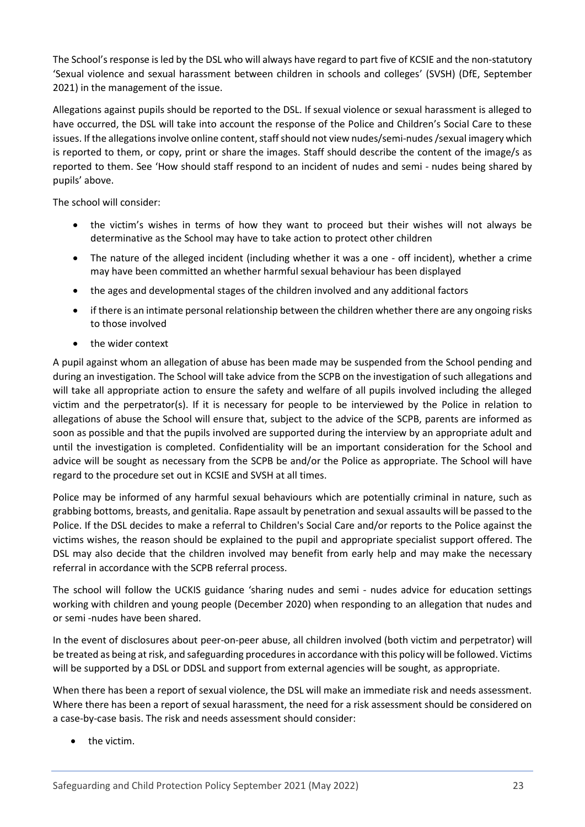The School's response is led by the DSL who will always have regard to part five of KCSIE and the non-statutory 'Sexual violence and sexual harassment between children in schools and colleges' (SVSH) (DfE, September 2021) in the management of the issue.

Allegations against pupils should be reported to the DSL. If sexual violence or sexual harassment is alleged to have occurred, the DSL will take into account the response of the Police and Children's Social Care to these issues. If the allegations involve online content, staff should not view nudes/semi-nudes /sexual imagery which is reported to them, or copy, print or share the images. Staff should describe the content of the image/s as reported to them. See 'How should staff respond to an incident of nudes and semi - nudes being shared by pupils' above.

The school will consider:

- the victim's wishes in terms of how they want to proceed but their wishes will not always be determinative as the School may have to take action to protect other children
- The nature of the alleged incident (including whether it was a one off incident), whether a crime may have been committed an whether harmful sexual behaviour has been displayed
- the ages and developmental stages of the children involved and any additional factors
- if there is an intimate personal relationship between the children whether there are any ongoing risks to those involved
- the wider context

A pupil against whom an allegation of abuse has been made may be suspended from the School pending and during an investigation. The School will take advice from the SCPB on the investigation of such allegations and will take all appropriate action to ensure the safety and welfare of all pupils involved including the alleged victim and the perpetrator(s). If it is necessary for people to be interviewed by the Police in relation to allegations of abuse the School will ensure that, subject to the advice of the SCPB, parents are informed as soon as possible and that the pupils involved are supported during the interview by an appropriate adult and until the investigation is completed. Confidentiality will be an important consideration for the School and advice will be sought as necessary from the SCPB be and/or the Police as appropriate. The School will have regard to the procedure set out in KCSIE and SVSH at all times.

Police may be informed of any harmful sexual behaviours which are potentially criminal in nature, such as grabbing bottoms, breasts, and genitalia. Rape assault by penetration and sexual assaults will be passed to the Police. If the DSL decides to make a referral to Children's Social Care and/or reports to the Police against the victims wishes, the reason should be explained to the pupil and appropriate specialist support offered. The DSL may also decide that the children involved may benefit from early help and may make the necessary referral in accordance with the SCPB referral process.

The school will follow the UCKIS guidance 'sharing nudes and semi - nudes advice for education settings working with children and young people (December 2020) when responding to an allegation that nudes and or semi -nudes have been shared.

In the event of disclosures about peer-on-peer abuse, all children involved (both victim and perpetrator) will be treated as being at risk, and safeguarding procedures in accordance with this policy will be followed. Victims will be supported by a DSL or DDSL and support from external agencies will be sought, as appropriate.

When there has been a report of sexual violence, the DSL will make an immediate risk and needs assessment. Where there has been a report of sexual harassment, the need for a risk assessment should be considered on a case-by-case basis. The risk and needs assessment should consider:

the victim.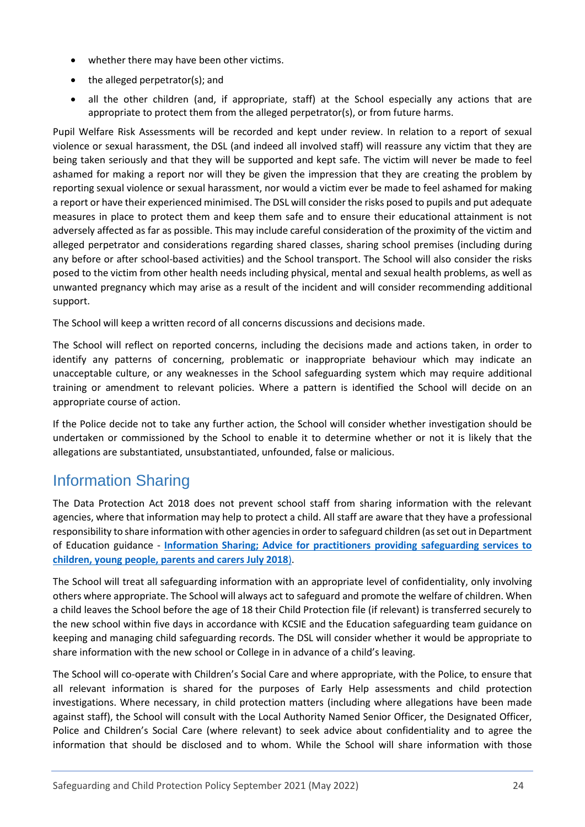- whether there may have been other victims.
- the alleged perpetrator(s); and
- all the other children (and, if appropriate, staff) at the School especially any actions that are appropriate to protect them from the alleged perpetrator(s), or from future harms.

Pupil Welfare Risk Assessments will be recorded and kept under review. In relation to a report of sexual violence or sexual harassment, the DSL (and indeed all involved staff) will reassure any victim that they are being taken seriously and that they will be supported and kept safe. The victim will never be made to feel ashamed for making a report nor will they be given the impression that they are creating the problem by reporting sexual violence or sexual harassment, nor would a victim ever be made to feel ashamed for making a report or have their experienced minimised. The DSL will consider the risks posed to pupils and put adequate measures in place to protect them and keep them safe and to ensure their educational attainment is not adversely affected as far as possible. This may include careful consideration of the proximity of the victim and alleged perpetrator and considerations regarding shared classes, sharing school premises (including during any before or after school-based activities) and the School transport. The School will also consider the risks posed to the victim from other health needs including physical, mental and sexual health problems, as well as unwanted pregnancy which may arise as a result of the incident and will consider recommending additional support.

The School will keep a written record of all concerns discussions and decisions made.

The School will reflect on reported concerns, including the decisions made and actions taken, in order to identify any patterns of concerning, problematic or inappropriate behaviour which may indicate an unacceptable culture, or any weaknesses in the School safeguarding system which may require additional training or amendment to relevant policies. Where a pattern is identified the School will decide on an appropriate course of action.

If the Police decide not to take any further action, the School will consider whether investigation should be undertaken or commissioned by the School to enable it to determine whether or not it is likely that the allegations are substantiated, unsubstantiated, unfounded, false or malicious.

## <span id="page-23-0"></span>Information Sharing

The Data Protection Act 2018 does not prevent school staff from sharing information with the relevant agencies, where that information may help to protect a child. All staff are aware that they have a professional responsibility to share information with other agencies in order to safeguard children (as set out in Department of Education guidance - **[Information Sharing; Advice for practitioners providing safeguarding services to](https://www.gov.uk/government/publications/safeguarding-practitioners-information-sharing-advice)  [children, young people, parents and carers July 2018](https://www.gov.uk/government/publications/safeguarding-practitioners-information-sharing-advice)**).

The School will treat all safeguarding information with an appropriate level of confidentiality, only involving others where appropriate. The School will always act to safeguard and promote the welfare of children. When a child leaves the School before the age of 18 their Child Protection file (if relevant) is transferred securely to the new school within five days in accordance with KCSIE and the Education safeguarding team guidance on keeping and managing child safeguarding records. The DSL will consider whether it would be appropriate to share information with the new school or College in in advance of a child's leaving.

The School will co-operate with Children's Social Care and where appropriate, with the Police, to ensure that all relevant information is shared for the purposes of Early Help assessments and child protection investigations. Where necessary, in child protection matters (including where allegations have been made against staff), the School will consult with the Local Authority Named Senior Officer, the Designated Officer, Police and Children's Social Care (where relevant) to seek advice about confidentiality and to agree the information that should be disclosed and to whom. While the School will share information with those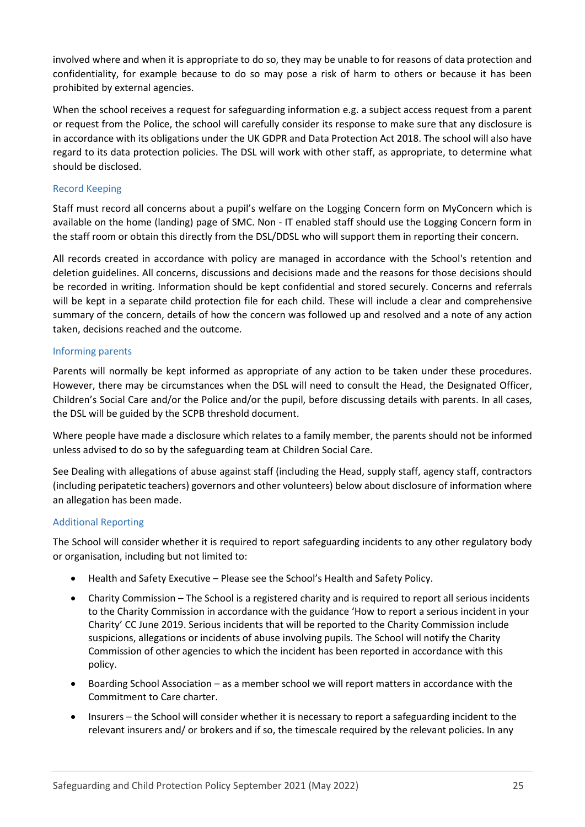involved where and when it is appropriate to do so, they may be unable to for reasons of data protection and confidentiality, for example because to do so may pose a risk of harm to others or because it has been prohibited by external agencies.

When the school receives a request for safeguarding information e.g. a subject access request from a parent or request from the Police, the school will carefully consider its response to make sure that any disclosure is in accordance with its obligations under the UK GDPR and Data Protection Act 2018. The school will also have regard to its data protection policies. The DSL will work with other staff, as appropriate, to determine what should be disclosed.

### <span id="page-24-0"></span>Record Keeping

Staff must record all concerns about a pupil's welfare on the Logging Concern form on MyConcern which is available on the home (landing) page of SMC. Non - IT enabled staff should use the Logging Concern form in the staff room or obtain this directly from the DSL/DDSL who will support them in reporting their concern.

All records created in accordance with policy are managed in accordance with the School's retention and deletion guidelines. All concerns, discussions and decisions made and the reasons for those decisions should be recorded in writing. Information should be kept confidential and stored securely. Concerns and referrals will be kept in a separate child protection file for each child. These will include a clear and comprehensive summary of the concern, details of how the concern was followed up and resolved and a note of any action taken, decisions reached and the outcome.

## <span id="page-24-1"></span>Informing parents

Parents will normally be kept informed as appropriate of any action to be taken under these procedures. However, there may be circumstances when the DSL will need to consult the Head, the Designated Officer, Children's Social Care and/or the Police and/or the pupil, before discussing details with parents. In all cases, the DSL will be guided by the SCPB threshold document.

Where people have made a disclosure which relates to a family member, the parents should not be informed unless advised to do so by the safeguarding team at Children Social Care.

See Dealing with allegations of abuse against staff (including the Head, supply staff, agency staff, contractors (including peripatetic teachers) governors and other volunteers) below about disclosure of information where an allegation has been made.

### <span id="page-24-2"></span>Additional Reporting

The School will consider whether it is required to report safeguarding incidents to any other regulatory body or organisation, including but not limited to:

- Health and Safety Executive Please see the School's Health and Safety Policy.
- Charity Commission The School is a registered charity and is required to report all serious incidents to the Charity Commission in accordance with the guidance 'How to report a serious incident in your Charity' CC June 2019. Serious incidents that will be reported to the Charity Commission include suspicions, allegations or incidents of abuse involving pupils. The School will notify the Charity Commission of other agencies to which the incident has been reported in accordance with this policy.
- Boarding School Association as a member school we will report matters in accordance with the Commitment to Care charter.
- Insurers the School will consider whether it is necessary to report a safeguarding incident to the relevant insurers and/ or brokers and if so, the timescale required by the relevant policies. In any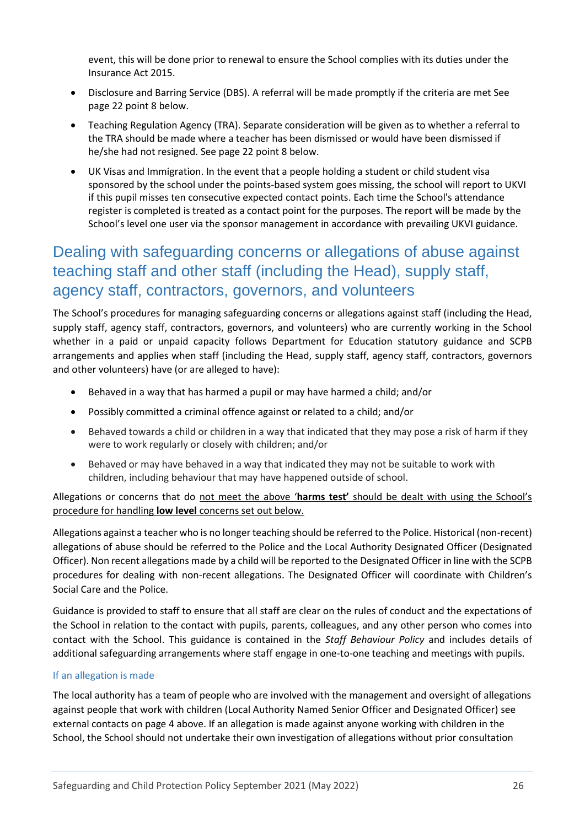event, this will be done prior to renewal to ensure the School complies with its duties under the Insurance Act 2015.

- Disclosure and Barring Service (DBS). A referral will be made promptly if the criteria are met See page 22 point 8 below.
- Teaching Regulation Agency (TRA). Separate consideration will be given as to whether a referral to the TRA should be made where a teacher has been dismissed or would have been dismissed if he/she had not resigned. See page 22 point 8 below.
- UK Visas and Immigration. In the event that a people holding a student or child student visa sponsored by the school under the points-based system goes missing, the school will report to UKVI if this pupil misses ten consecutive expected contact points. Each time the School's attendance register is completed is treated as a contact point for the purposes. The report will be made by the School's level one user via the sponsor management in accordance with prevailing UKVI guidance.

# <span id="page-25-0"></span>Dealing with safeguarding concerns or allegations of abuse against teaching staff and other staff (including the Head), supply staff, agency staff, contractors, governors, and volunteers

The School's procedures for managing safeguarding concerns or allegations against staff (including the Head, supply staff, agency staff, contractors, governors, and volunteers) who are currently working in the School whether in a paid or unpaid capacity follows Department for Education statutory guidance and SCPB arrangements and applies when staff (including the Head, supply staff, agency staff, contractors, governors and other volunteers) have (or are alleged to have):

- Behaved in a way that has harmed a pupil or may have harmed a child; and/or
- Possibly committed a criminal offence against or related to a child; and/or
- Behaved towards a child or children in a way that indicated that they may pose a risk of harm if they were to work regularly or closely with children; and/or
- Behaved or may have behaved in a way that indicated they may not be suitable to work with children, including behaviour that may have happened outside of school.

Allegations or concerns that do not meet the above '**harms test'** should be dealt with using the School's procedure for handling **low level** concerns set out below.

Allegations against a teacher who is no longer teaching should be referred to the Police. Historical (non-recent) allegations of abuse should be referred to the Police and the Local Authority Designated Officer (Designated Officer). Non recent allegations made by a child will be reported to the Designated Officer in line with the SCPB procedures for dealing with non-recent allegations. The Designated Officer will coordinate with Children's Social Care and the Police.

Guidance is provided to staff to ensure that all staff are clear on the rules of conduct and the expectations of the School in relation to the contact with pupils, parents, colleagues, and any other person who comes into contact with the School. This guidance is contained in the *Staff Behaviour Policy* and includes details of additional safeguarding arrangements where staff engage in one-to-one teaching and meetings with pupils.

### <span id="page-25-1"></span>If an allegation is made

The local authority has a team of people who are involved with the management and oversight of allegations against people that work with children (Local Authority Named Senior Officer and Designated Officer) see external contacts on page 4 above. If an allegation is made against anyone working with children in the School, the School should not undertake their own investigation of allegations without prior consultation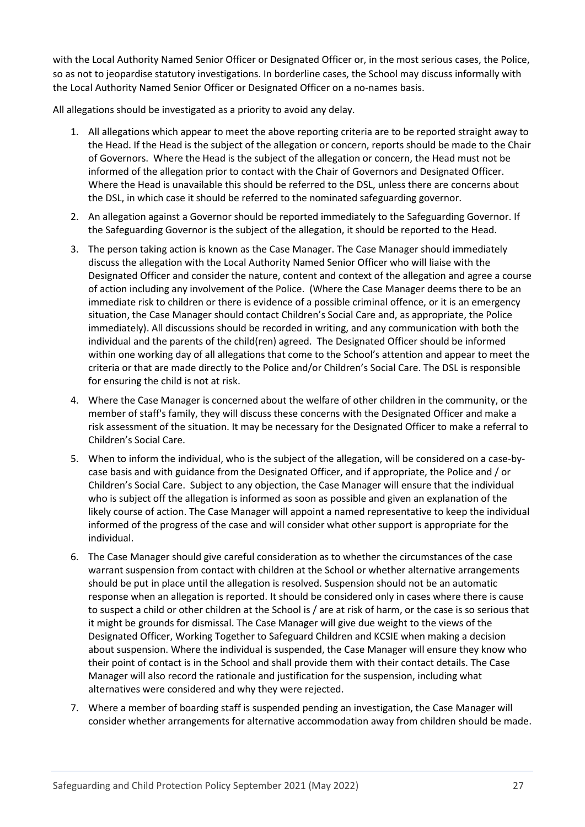with the Local Authority Named Senior Officer or Designated Officer or, in the most serious cases, the Police, so as not to jeopardise statutory investigations. In borderline cases, the School may discuss informally with the Local Authority Named Senior Officer or Designated Officer on a no-names basis.

All allegations should be investigated as a priority to avoid any delay.

- 1. All allegations which appear to meet the above reporting criteria are to be reported straight away to the Head. If the Head is the subject of the allegation or concern, reports should be made to the Chair of Governors. Where the Head is the subject of the allegation or concern, the Head must not be informed of the allegation prior to contact with the Chair of Governors and Designated Officer. Where the Head is unavailable this should be referred to the DSL, unless there are concerns about the DSL, in which case it should be referred to the nominated safeguarding governor.
- 2. An allegation against a Governor should be reported immediately to the Safeguarding Governor. If the Safeguarding Governor is the subject of the allegation, it should be reported to the Head.
- 3. The person taking action is known as the Case Manager. The Case Manager should immediately discuss the allegation with the Local Authority Named Senior Officer who will liaise with the Designated Officer and consider the nature, content and context of the allegation and agree a course of action including any involvement of the Police. (Where the Case Manager deems there to be an immediate risk to children or there is evidence of a possible criminal offence, or it is an emergency situation, the Case Manager should contact Children's Social Care and, as appropriate, the Police immediately). All discussions should be recorded in writing, and any communication with both the individual and the parents of the child(ren) agreed. The Designated Officer should be informed within one working day of all allegations that come to the School's attention and appear to meet the criteria or that are made directly to the Police and/or Children's Social Care. The DSL is responsible for ensuring the child is not at risk.
- 4. Where the Case Manager is concerned about the welfare of other children in the community, or the member of staff's family, they will discuss these concerns with the Designated Officer and make a risk assessment of the situation. It may be necessary for the Designated Officer to make a referral to Children's Social Care.
- 5. When to inform the individual, who is the subject of the allegation, will be considered on a case-bycase basis and with guidance from the Designated Officer, and if appropriate, the Police and / or Children's Social Care. Subject to any objection, the Case Manager will ensure that the individual who is subject off the allegation is informed as soon as possible and given an explanation of the likely course of action. The Case Manager will appoint a named representative to keep the individual informed of the progress of the case and will consider what other support is appropriate for the individual.
- 6. The Case Manager should give careful consideration as to whether the circumstances of the case warrant suspension from contact with children at the School or whether alternative arrangements should be put in place until the allegation is resolved. Suspension should not be an automatic response when an allegation is reported. It should be considered only in cases where there is cause to suspect a child or other children at the School is / are at risk of harm, or the case is so serious that it might be grounds for dismissal. The Case Manager will give due weight to the views of the Designated Officer, Working Together to Safeguard Children and KCSIE when making a decision about suspension. Where the individual is suspended, the Case Manager will ensure they know who their point of contact is in the School and shall provide them with their contact details. The Case Manager will also record the rationale and justification for the suspension, including what alternatives were considered and why they were rejected.
- 7. Where a member of boarding staff is suspended pending an investigation, the Case Manager will consider whether arrangements for alternative accommodation away from children should be made.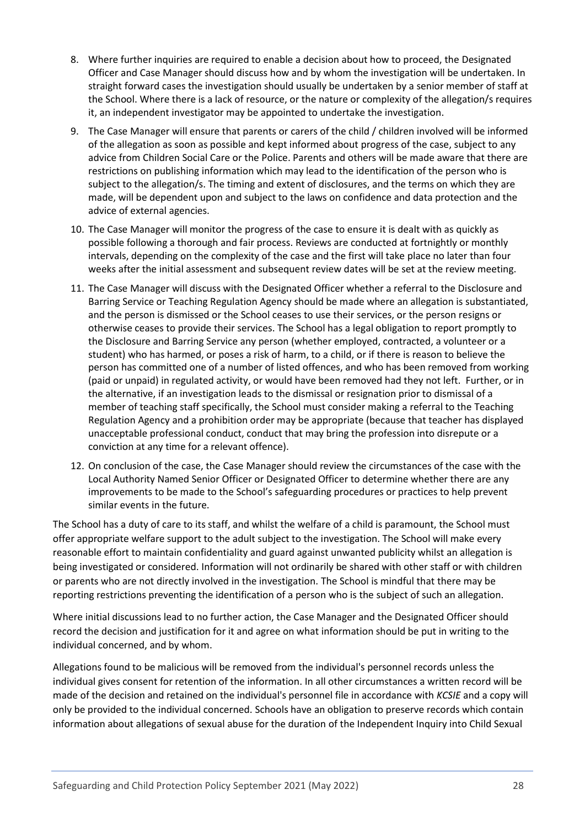- 8. Where further inquiries are required to enable a decision about how to proceed, the Designated Officer and Case Manager should discuss how and by whom the investigation will be undertaken. In straight forward cases the investigation should usually be undertaken by a senior member of staff at the School. Where there is a lack of resource, or the nature or complexity of the allegation/s requires it, an independent investigator may be appointed to undertake the investigation.
- 9. The Case Manager will ensure that parents or carers of the child / children involved will be informed of the allegation as soon as possible and kept informed about progress of the case, subject to any advice from Children Social Care or the Police. Parents and others will be made aware that there are restrictions on publishing information which may lead to the identification of the person who is subject to the allegation/s. The timing and extent of disclosures, and the terms on which they are made, will be dependent upon and subject to the laws on confidence and data protection and the advice of external agencies.
- 10. The Case Manager will monitor the progress of the case to ensure it is dealt with as quickly as possible following a thorough and fair process. Reviews are conducted at fortnightly or monthly intervals, depending on the complexity of the case and the first will take place no later than four weeks after the initial assessment and subsequent review dates will be set at the review meeting.
- 11. The Case Manager will discuss with the Designated Officer whether a referral to the Disclosure and Barring Service or Teaching Regulation Agency should be made where an allegation is substantiated, and the person is dismissed or the School ceases to use their services, or the person resigns or otherwise ceases to provide their services. The School has a legal obligation to report promptly to the Disclosure and Barring Service any person (whether employed, contracted, a volunteer or a student) who has harmed, or poses a risk of harm, to a child, or if there is reason to believe the person has committed one of a number of listed offences, and who has been removed from working (paid or unpaid) in regulated activity, or would have been removed had they not left. Further, or in the alternative, if an investigation leads to the dismissal or resignation prior to dismissal of a member of teaching staff specifically, the School must consider making a referral to the Teaching Regulation Agency and a prohibition order may be appropriate (because that teacher has displayed unacceptable professional conduct, conduct that may bring the profession into disrepute or a conviction at any time for a relevant offence).
- 12. On conclusion of the case, the Case Manager should review the circumstances of the case with the Local Authority Named Senior Officer or Designated Officer to determine whether there are any improvements to be made to the School's safeguarding procedures or practices to help prevent similar events in the future.

The School has a duty of care to its staff, and whilst the welfare of a child is paramount, the School must offer appropriate welfare support to the adult subject to the investigation. The School will make every reasonable effort to maintain confidentiality and guard against unwanted publicity whilst an allegation is being investigated or considered. Information will not ordinarily be shared with other staff or with children or parents who are not directly involved in the investigation. The School is mindful that there may be reporting restrictions preventing the identification of a person who is the subject of such an allegation.

Where initial discussions lead to no further action, the Case Manager and the Designated Officer should record the decision and justification for it and agree on what information should be put in writing to the individual concerned, and by whom.

Allegations found to be malicious will be removed from the individual's personnel records unless the individual gives consent for retention of the information. In all other circumstances a written record will be made of the decision and retained on the individual's personnel file in accordance with *KCSIE* and a copy will only be provided to the individual concerned. Schools have an obligation to preserve records which contain information about allegations of sexual abuse for the duration of the Independent Inquiry into Child Sexual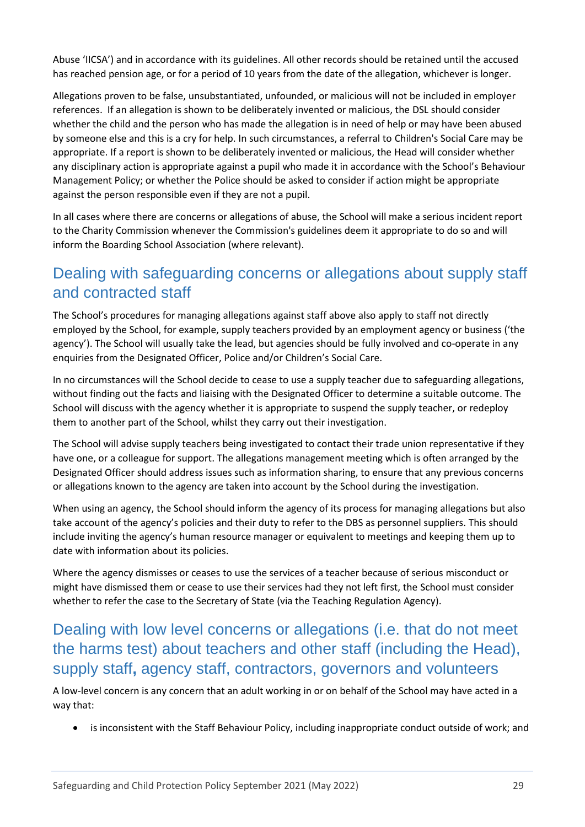Abuse 'IICSA') and in accordance with its guidelines. All other records should be retained until the accused has reached pension age, or for a period of 10 years from the date of the allegation, whichever is longer.

Allegations proven to be false, unsubstantiated, unfounded, or malicious will not be included in employer references. If an allegation is shown to be deliberately invented or malicious, the DSL should consider whether the child and the person who has made the allegation is in need of help or may have been abused by someone else and this is a cry for help. In such circumstances, a referral to Children's Social Care may be appropriate. If a report is shown to be deliberately invented or malicious, the Head will consider whether any disciplinary action is appropriate against a pupil who made it in accordance with the School's Behaviour Management Policy; or whether the Police should be asked to consider if action might be appropriate against the person responsible even if they are not a pupil.

In all cases where there are concerns or allegations of abuse, the School will make a serious incident report to the Charity Commission whenever the Commission's guidelines deem it appropriate to do so and will inform the Boarding School Association (where relevant).

## <span id="page-28-0"></span>Dealing with safeguarding concerns or allegations about supply staff and contracted staff

The School's procedures for managing allegations against staff above also apply to staff not directly employed by the School, for example, supply teachers provided by an employment agency or business ('the agency'). The School will usually take the lead, but agencies should be fully involved and co-operate in any enquiries from the Designated Officer, Police and/or Children's Social Care.

In no circumstances will the School decide to cease to use a supply teacher due to safeguarding allegations, without finding out the facts and liaising with the Designated Officer to determine a suitable outcome. The School will discuss with the agency whether it is appropriate to suspend the supply teacher, or redeploy them to another part of the School, whilst they carry out their investigation.

The School will advise supply teachers being investigated to contact their trade union representative if they have one, or a colleague for support. The allegations management meeting which is often arranged by the Designated Officer should address issues such as information sharing, to ensure that any previous concerns or allegations known to the agency are taken into account by the School during the investigation.

When using an agency, the School should inform the agency of its process for managing allegations but also take account of the agency's policies and their duty to refer to the DBS as personnel suppliers. This should include inviting the agency's human resource manager or equivalent to meetings and keeping them up to date with information about its policies.

Where the agency dismisses or ceases to use the services of a teacher because of serious misconduct or might have dismissed them or cease to use their services had they not left first, the School must consider whether to refer the case to the Secretary of State (via the Teaching Regulation Agency).

# <span id="page-28-1"></span>Dealing with low level concerns or allegations (i.e. that do not meet the harms test) about teachers and other staff (including the Head), supply staff**,** agency staff, contractors, governors and volunteers

A low-level concern is any concern that an adult working in or on behalf of the School may have acted in a way that:

• is inconsistent with the Staff Behaviour Policy, including inappropriate conduct outside of work; and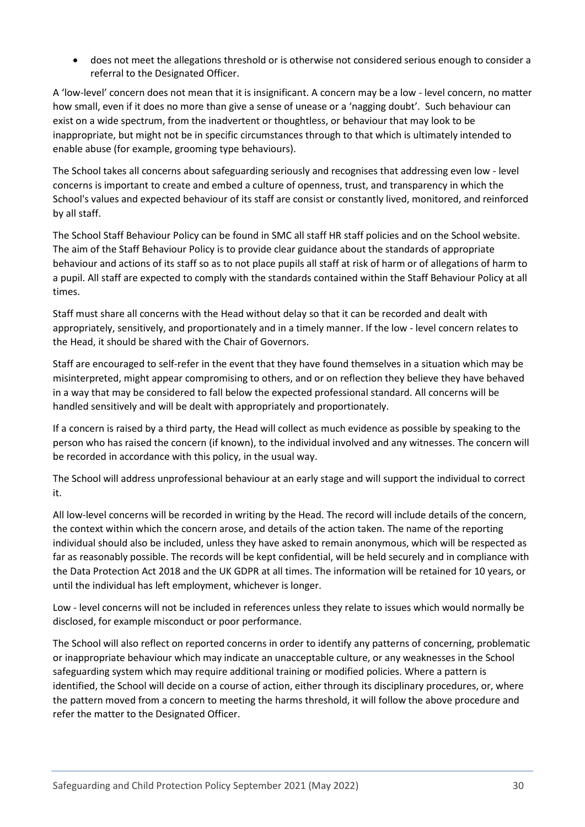• does not meet the allegations threshold or is otherwise not considered serious enough to consider a referral to the Designated Officer.

A 'low-level' concern does not mean that it is insignificant. A concern may be a low - level concern, no matter how small, even if it does no more than give a sense of unease or a 'nagging doubt'. Such behaviour can exist on a wide spectrum, from the inadvertent or thoughtless, or behaviour that may look to be inappropriate, but might not be in specific circumstances through to that which is ultimately intended to enable abuse (for example, grooming type behaviours).

The School takes all concerns about safeguarding seriously and recognises that addressing even low - level concerns is important to create and embed a culture of openness, trust, and transparency in which the School's values and expected behaviour of its staff are consist or constantly lived, monitored, and reinforced by all staff.

The School Staff Behaviour Policy can be found in SMC all staff HR staff policies and on the School website. The aim of the Staff Behaviour Policy is to provide clear guidance about the standards of appropriate behaviour and actions of its staff so as to not place pupils all staff at risk of harm or of allegations of harm to a pupil. All staff are expected to comply with the standards contained within the Staff Behaviour Policy at all times.

Staff must share all concerns with the Head without delay so that it can be recorded and dealt with appropriately, sensitively, and proportionately and in a timely manner. If the low - level concern relates to the Head, it should be shared with the Chair of Governors.

Staff are encouraged to self-refer in the event that they have found themselves in a situation which may be misinterpreted, might appear compromising to others, and or on reflection they believe they have behaved in a way that may be considered to fall below the expected professional standard. All concerns will be handled sensitively and will be dealt with appropriately and proportionately.

If a concern is raised by a third party, the Head will collect as much evidence as possible by speaking to the person who has raised the concern (if known), to the individual involved and any witnesses. The concern will be recorded in accordance with this policy, in the usual way.

The School will address unprofessional behaviour at an early stage and will support the individual to correct it.

All low-level concerns will be recorded in writing by the Head. The record will include details of the concern, the context within which the concern arose, and details of the action taken. The name of the reporting individual should also be included, unless they have asked to remain anonymous, which will be respected as far as reasonably possible. The records will be kept confidential, will be held securely and in compliance with the Data Protection Act 2018 and the UK GDPR at all times. The information will be retained for 10 years, or until the individual has left employment, whichever is longer.

Low - level concerns will not be included in references unless they relate to issues which would normally be disclosed, for example misconduct or poor performance.

The School will also reflect on reported concerns in order to identify any patterns of concerning, problematic or inappropriate behaviour which may indicate an unacceptable culture, or any weaknesses in the School safeguarding system which may require additional training or modified policies. Where a pattern is identified, the School will decide on a course of action, either through its disciplinary procedures, or, where the pattern moved from a concern to meeting the harms threshold, it will follow the above procedure and refer the matter to the Designated Officer.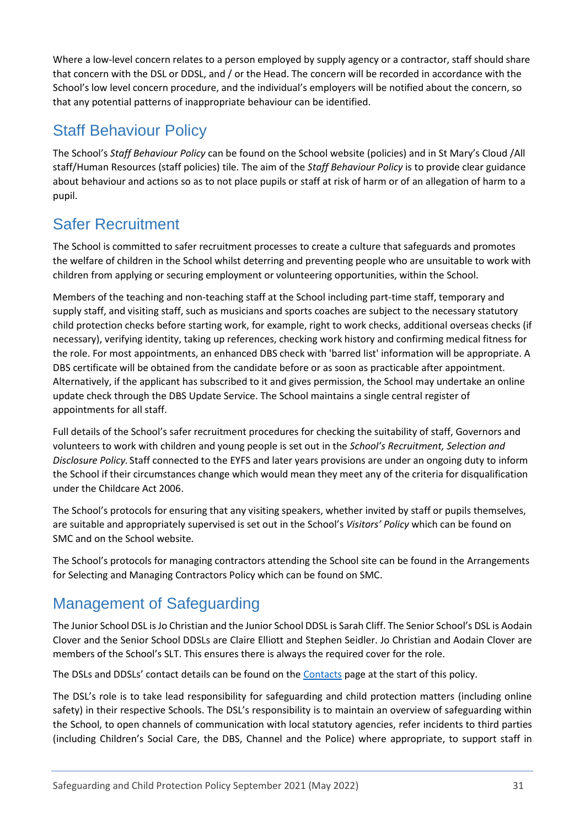Where a low-level concern relates to a person employed by supply agency or a contractor, staff should share that concern with the DSL or DDSL, and / or the Head. The concern will be recorded in accordance with the School's low level concern procedure, and the individual's employers will be notified about the concern, so that any potential patterns of inappropriate behaviour can be identified.

# <span id="page-30-0"></span>Staff Behaviour Policy

The School's *Staff Behaviour Policy* can be found on the School website (policies) and in St Mary's Cloud /All staff/Human Resources (staff policies) tile. The aim of the *Staff Behaviour Policy* is to provide clear guidance about behaviour and actions so as to not place pupils or staff at risk of harm or of an allegation of harm to a pupil.

# <span id="page-30-1"></span>Safer Recruitment

The School is committed to safer recruitment processes to create a culture that safeguards and promotes the welfare of children in the School whilst deterring and preventing people who are unsuitable to work with children from applying or securing employment or volunteering opportunities, within the School.

Members of the teaching and non-teaching staff at the School including part-time staff, temporary and supply staff, and visiting staff, such as musicians and sports coaches are subject to the necessary statutory child protection checks before starting work, for example, right to work checks, additional overseas checks (if necessary), verifying identity, taking up references, checking work history and confirming medical fitness for the role. For most appointments, an enhanced DBS check with 'barred list' information will be appropriate. A DBS certificate will be obtained from the candidate before or as soon as practicable after appointment. Alternatively, if the applicant has subscribed to it and gives permission, the School may undertake an online update check through the DBS Update Service. The School maintains a single central register of appointments for all staff.

Full details of the School's safer recruitment procedures for checking the suitability of staff, Governors and volunteers to work with children and young people is set out in the *School's Recruitment, Selection and Disclosure Policy.* Staff connected to the EYFS and later years provisions are under an ongoing duty to inform the School if their circumstances change which would mean they meet any of the criteria for disqualification under the Childcare Act 2006.

The School's protocols for ensuring that any visiting speakers, whether invited by staff or pupils themselves, are suitable and appropriately supervised is set out in the School's *Visitors' Policy* which can be found on SMC and on the School website*.* 

The School's protocols for managing contractors attending the School site can be found in the Arrangements for Selecting and Managing Contractors Policy which can be found on SMC.

# <span id="page-30-2"></span>Management of Safeguarding

The Junior School DSL is Jo Christian and the Junior School DDSL is Sarah Cliff. The Senior School's DSL is Aodain Clover and the Senior School DDSLs are Claire Elliott and Stephen Seidler. Jo Christian and Aodain Clover are members of the School's SLT. This ensures there is always the required cover for the role.

The DSLs and DDSLs' contact details can be found on th[e Contacts](#page-6-0) page at the start of this policy.

The DSL's role is to take lead responsibility for safeguarding and child protection matters (including online safety) in their respective Schools. The DSL's responsibility is to maintain an overview of safeguarding within the School, to open channels of communication with local statutory agencies, refer incidents to third parties (including Children's Social Care, the DBS, Channel and the Police) where appropriate, to support staff in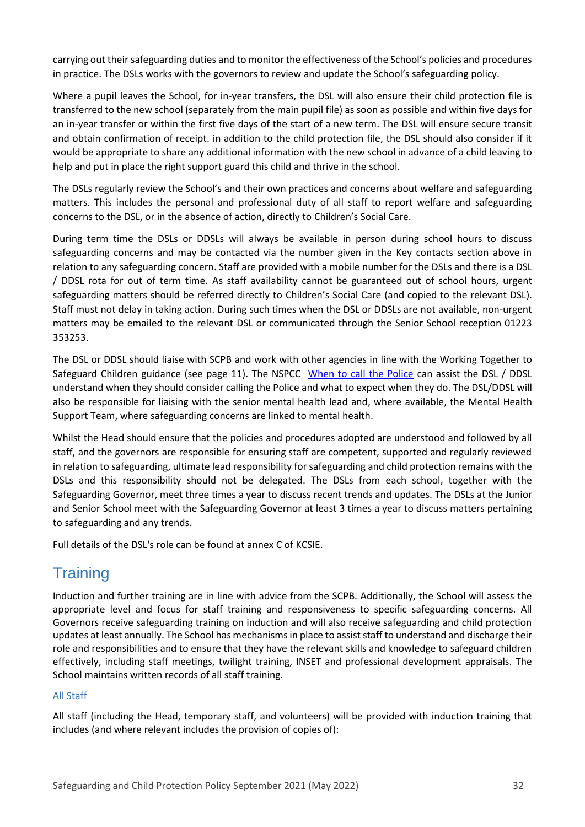carrying out their safeguarding duties and to monitor the effectiveness of the School's policies and procedures in practice. The DSLs works with the governors to review and update the School's safeguarding policy.

Where a pupil leaves the School, for in-year transfers, the DSL will also ensure their child protection file is transferred to the new school (separately from the main pupil file) as soon as possible and within five days for an in-year transfer or within the first five days of the start of a new term. The DSL will ensure secure transit and obtain confirmation of receipt. in addition to the child protection file, the DSL should also consider if it would be appropriate to share any additional information with the new school in advance of a child leaving to help and put in place the right support guard this child and thrive in the school.

The DSLs regularly review the School's and their own practices and concerns about welfare and safeguarding matters. This includes the personal and professional duty of all staff to report welfare and safeguarding concerns to the DSL, or in the absence of action, directly to Children's Social Care.

During term time the DSLs or DDSLs will always be available in person during school hours to discuss safeguarding concerns and may be contacted via the number given in the Key contacts section above in relation to any safeguarding concern. Staff are provided with a mobile number for the DSLs and there is a DSL / DDSL rota for out of term time. As staff availability cannot be guaranteed out of school hours, urgent safeguarding matters should be referred directly to Children's Social Care (and copied to the relevant DSL). Staff must not delay in taking action. During such times when the DSL or DDSLs are not available, non-urgent matters may be emailed to the relevant DSL or communicated through the Senior School reception 01223 353253.

The DSL or DDSL should liaise with SCPB and work with other agencies in line with the Working Together to Safeguard Children guidance (see page 11). The NSPCC [When to call the Police](https://www.npcc.police.uk/documents/Children%20and%20Young%20people/When%20to%20call%20the%20police%20guidance%20for%20schools%20and%20colleges.pdf) can assist the DSL / DDSL understand when they should consider calling the Police and what to expect when they do. The DSL/DDSL will also be responsible for liaising with the senior mental health lead and, where available, the Mental Health Support Team, where safeguarding concerns are linked to mental health.

Whilst the Head should ensure that the policies and procedures adopted are understood and followed by all staff, and the governors are responsible for ensuring staff are competent, supported and regularly reviewed in relation to safeguarding, ultimate lead responsibility for safeguarding and child protection remains with the DSLs and this responsibility should not be delegated. The DSLs from each school, together with the Safeguarding Governor, meet three times a year to discuss recent trends and updates. The DSLs at the Junior and Senior School meet with the Safeguarding Governor at least 3 times a year to discuss matters pertaining to safeguarding and any trends.

Full details of the DSL's role can be found at annex C of KCSIE.

## <span id="page-31-0"></span>**Training**

Induction and further training are in line with advice from the SCPB. Additionally, the School will assess the appropriate level and focus for staff training and responsiveness to specific safeguarding concerns. All Governors receive safeguarding training on induction and will also receive safeguarding and child protection updates at least annually. The School has mechanisms in place to assist staff to understand and discharge their role and responsibilities and to ensure that they have the relevant skills and knowledge to safeguard children effectively, including staff meetings, twilight training, INSET and professional development appraisals. The School maintains written records of all staff training.

## <span id="page-31-1"></span>All Staff

All staff (including the Head, temporary staff, and volunteers) will be provided with induction training that includes (and where relevant includes the provision of copies of):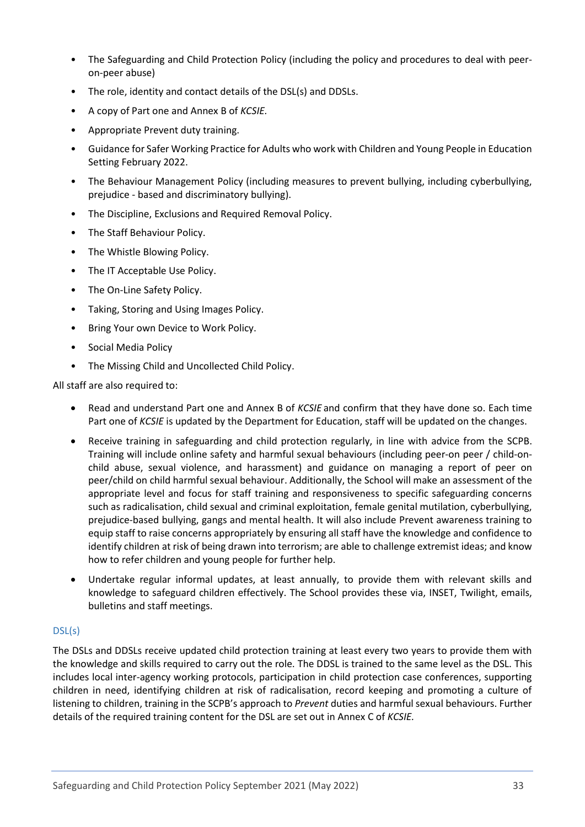- The Safeguarding and Child Protection Policy (including the policy and procedures to deal with peeron-peer abuse)
- The role, identity and contact details of the DSL(s) and DDSLs.
- A copy of Part one and Annex B of *KCSIE.*
- Appropriate Prevent duty training.
- Guidance for Safer Working Practice for Adults who work with Children and Young People in Education Setting February 2022.
- The Behaviour Management Policy (including measures to prevent bullying, including cyberbullying, prejudice - based and discriminatory bullying).
- The Discipline, Exclusions and Required Removal Policy.
- The Staff Behaviour Policy.
- The Whistle Blowing Policy.
- The IT Acceptable Use Policy.
- The On-Line Safety Policy.
- Taking, Storing and Using Images Policy.
- Bring Your own Device to Work Policy.
- Social Media Policy
- The Missing Child and Uncollected Child Policy.

All staff are also required to:

- Read and understand Part one and Annex B of *KCSIE* and confirm that they have done so. Each time Part one of *KCSIE* is updated by the Department for Education, staff will be updated on the changes.
- Receive training in safeguarding and child protection regularly, in line with advice from the SCPB. Training will include online safety and harmful sexual behaviours (including peer-on peer / child-onchild abuse, sexual violence, and harassment) and guidance on managing a report of peer on peer/child on child harmful sexual behaviour. Additionally, the School will make an assessment of the appropriate level and focus for staff training and responsiveness to specific safeguarding concerns such as radicalisation, child sexual and criminal exploitation, female genital mutilation, cyberbullying, prejudice-based bullying, gangs and mental health. It will also include Prevent awareness training to equip staff to raise concerns appropriately by ensuring all staff have the knowledge and confidence to identify children at risk of being drawn into terrorism; are able to challenge extremist ideas; and know how to refer children and young people for further help.
- Undertake regular informal updates, at least annually, to provide them with relevant skills and knowledge to safeguard children effectively. The School provides these via, INSET, Twilight, emails, bulletins and staff meetings.

## <span id="page-32-0"></span>DSL(s)

The DSLs and DDSLs receive updated child protection training at least every two years to provide them with the knowledge and skills required to carry out the role. The DDSL is trained to the same level as the DSL. This includes local inter-agency working protocols, participation in child protection case conferences, supporting children in need, identifying children at risk of radicalisation, record keeping and promoting a culture of listening to children, training in the SCPB's approach to *Prevent* duties and harmful sexual behaviours. Further details of the required training content for the DSL are set out in Annex C of *KCSIE.*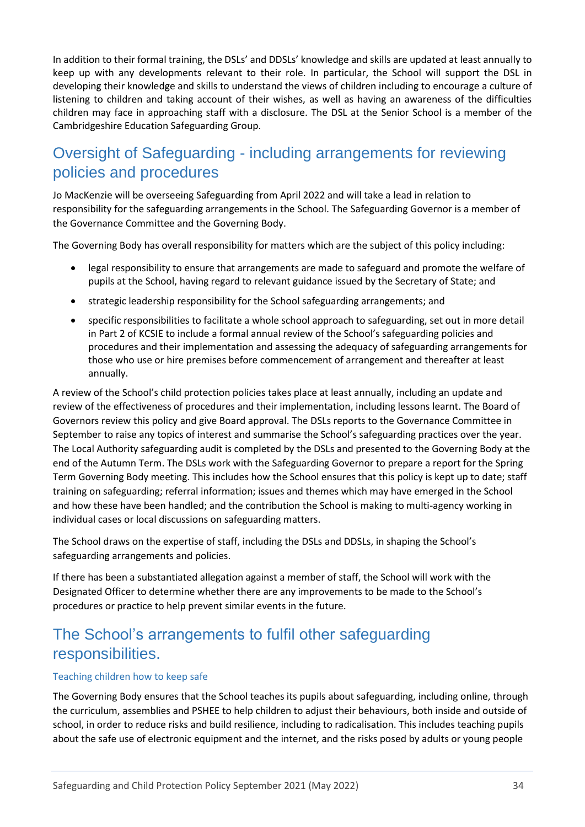In addition to their formal training, the DSLs' and DDSLs' knowledge and skills are updated at least annually to keep up with any developments relevant to their role. In particular, the School will support the DSL in developing their knowledge and skills to understand the views of children including to encourage a culture of listening to children and taking account of their wishes, as well as having an awareness of the difficulties children may face in approaching staff with a disclosure. The DSL at the Senior School is a member of the Cambridgeshire Education Safeguarding Group.

# <span id="page-33-0"></span>Oversight of Safeguarding - including arrangements for reviewing policies and procedures

Jo MacKenzie will be overseeing Safeguarding from April 2022 and will take a lead in relation to responsibility for the safeguarding arrangements in the School. The Safeguarding Governor is a member of the Governance Committee and the Governing Body.

The Governing Body has overall responsibility for matters which are the subject of this policy including:

- legal responsibility to ensure that arrangements are made to safeguard and promote the welfare of pupils at the School, having regard to relevant guidance issued by the Secretary of State; and
- strategic leadership responsibility for the School safeguarding arrangements; and
- specific responsibilities to facilitate a whole school approach to safeguarding, set out in more detail in Part 2 of KCSIE to include a formal annual review of the School's safeguarding policies and procedures and their implementation and assessing the adequacy of safeguarding arrangements for those who use or hire premises before commencement of arrangement and thereafter at least annually.

A review of the School's child protection policies takes place at least annually, including an update and review of the effectiveness of procedures and their implementation, including lessons learnt. The Board of Governors review this policy and give Board approval. The DSLs reports to the Governance Committee in September to raise any topics of interest and summarise the School's safeguarding practices over the year. The Local Authority safeguarding audit is completed by the DSLs and presented to the Governing Body at the end of the Autumn Term. The DSLs work with the Safeguarding Governor to prepare a report for the Spring Term Governing Body meeting. This includes how the School ensures that this policy is kept up to date; staff training on safeguarding; referral information; issues and themes which may have emerged in the School and how these have been handled; and the contribution the School is making to multi-agency working in individual cases or local discussions on safeguarding matters.

The School draws on the expertise of staff, including the DSLs and DDSLs, in shaping the School's safeguarding arrangements and policies.

If there has been a substantiated allegation against a member of staff, the School will work with the Designated Officer to determine whether there are any improvements to be made to the School's procedures or practice to help prevent similar events in the future.

## <span id="page-33-1"></span>The School's arrangements to fulfil other safeguarding responsibilities.

#### <span id="page-33-2"></span>Teaching children how to keep safe

The Governing Body ensures that the School teaches its pupils about safeguarding, including online, through the curriculum, assemblies and PSHEE to help children to adjust their behaviours, both inside and outside of school, in order to reduce risks and build resilience, including to radicalisation. This includes teaching pupils about the safe use of electronic equipment and the internet, and the risks posed by adults or young people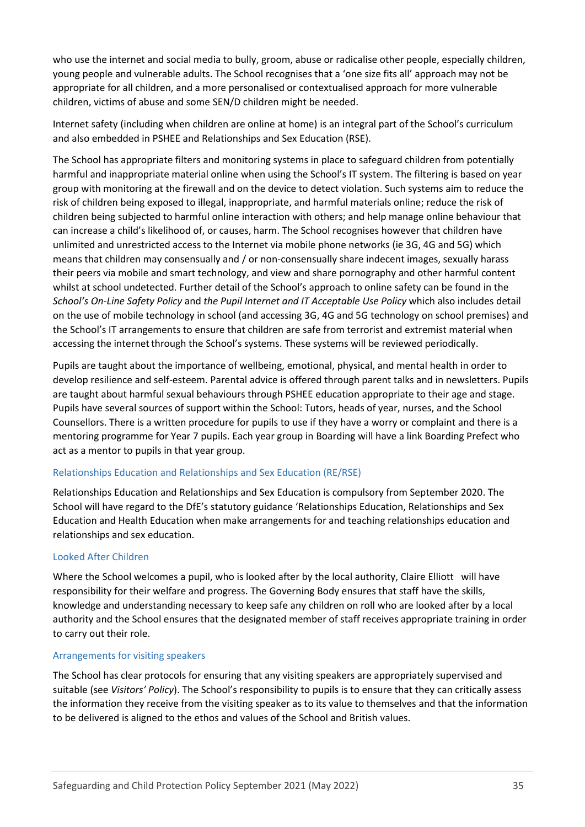who use the internet and social media to bully, groom, abuse or radicalise other people, especially children, young people and vulnerable adults. The School recognises that a 'one size fits all' approach may not be appropriate for all children, and a more personalised or contextualised approach for more vulnerable children, victims of abuse and some SEN/D children might be needed.

Internet safety (including when children are online at home) is an integral part of the School's curriculum and also embedded in PSHEE and Relationships and Sex Education (RSE).

The School has appropriate filters and monitoring systems in place to safeguard children from potentially harmful and inappropriate material online when using the School's IT system. The filtering is based on year group with monitoring at the firewall and on the device to detect violation. Such systems aim to reduce the risk of children being exposed to illegal, inappropriate, and harmful materials online; reduce the risk of children being subjected to harmful online interaction with others; and help manage online behaviour that can increase a child's likelihood of, or causes, harm. The School recognises however that children have unlimited and unrestricted access to the Internet via mobile phone networks (ie 3G, 4G and 5G) which means that children may consensually and / or non-consensually share indecent images, sexually harass their peers via mobile and smart technology, and view and share pornography and other harmful content whilst at school undetected. Further detail of the School's approach to online safety can be found in the *School's On-Line Safety Policy* and *the Pupil Internet and IT Acceptable Use Policy* which also includes detail on the use of mobile technology in school (and accessing 3G, 4G and 5G technology on school premises) and the School's IT arrangements to ensure that children are safe from terrorist and extremist material when accessing the internet through the School's systems. These systems will be reviewed periodically.

Pupils are taught about the importance of wellbeing, emotional, physical, and mental health in order to develop resilience and self-esteem. Parental advice is offered through parent talks and in newsletters. Pupils are taught about harmful sexual behaviours through PSHEE education appropriate to their age and stage. Pupils have several sources of support within the School: Tutors, heads of year, nurses, and the School Counsellors. There is a written procedure for pupils to use if they have a worry or complaint and there is a mentoring programme for Year 7 pupils. Each year group in Boarding will have a link Boarding Prefect who act as a mentor to pupils in that year group.

### <span id="page-34-0"></span>Relationships Education and Relationships and Sex Education (RE/RSE)

Relationships Education and Relationships and Sex Education is compulsory from September 2020. The School will have regard to the DfE's statutory guidance 'Relationships Education, Relationships and Sex Education and Health Education when make arrangements for and teaching relationships education and relationships and sex education.

### <span id="page-34-1"></span>Looked After Children

Where the School welcomes a pupil, who is looked after by the local authority, Claire Elliott will have responsibility for their welfare and progress. The Governing Body ensures that staff have the skills, knowledge and understanding necessary to keep safe any children on roll who are looked after by a local authority and the School ensures that the designated member of staff receives appropriate training in order to carry out their role.

### <span id="page-34-2"></span>Arrangements for visiting speakers

The School has clear protocols for ensuring that any visiting speakers are appropriately supervised and suitable (see *Visitors' Policy*). The School's responsibility to pupils is to ensure that they can critically assess the information they receive from the visiting speaker as to its value to themselves and that the information to be delivered is aligned to the ethos and values of the School and British values.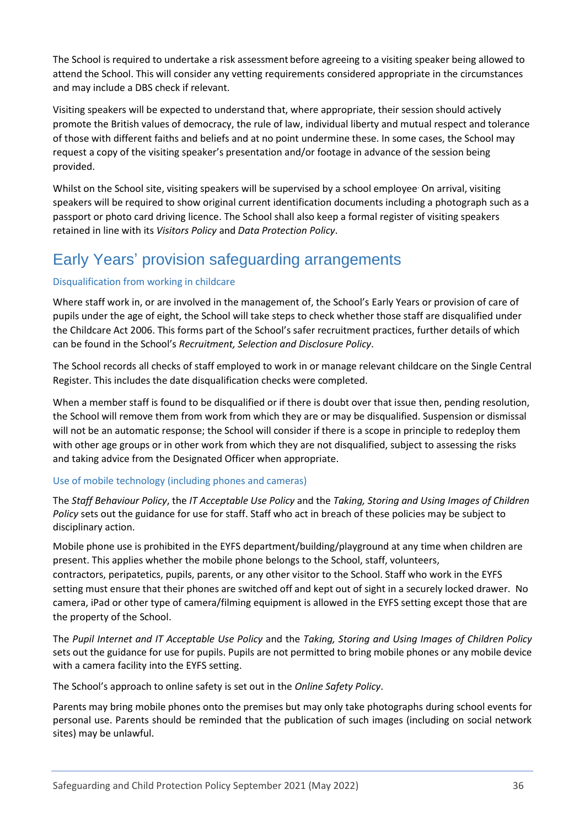The School is required to undertake a risk assessment before agreeing to a visiting speaker being allowed to attend the School. This will consider any vetting requirements considered appropriate in the circumstances and may include a DBS check if relevant.

Visiting speakers will be expected to understand that, where appropriate, their session should actively promote the British values of democracy, the rule of law, individual liberty and mutual respect and tolerance of those with different faiths and beliefs and at no point undermine these. In some cases, the School may request a copy of the visiting speaker's presentation and/or footage in advance of the session being provided.

Whilst on the School site, visiting speakers will be supervised by a school employee<sup>.</sup> On arrival, visiting speakers will be required to show original current identification documents including a photograph such as a passport or photo card driving licence. The School shall also keep a formal register of visiting speakers retained in line with its *Visitors Policy* and *Data Protection Policy*.

# <span id="page-35-0"></span>Early Years' provision safeguarding arrangements

## <span id="page-35-1"></span>Disqualification from working in childcare

Where staff work in, or are involved in the management of, the School's Early Years or provision of care of pupils under the age of eight, the School will take steps to check whether those staff are disqualified under the Childcare Act 2006. This forms part of the School's safer recruitment practices, further details of which can be found in the School's *Recruitment, Selection and Disclosure Policy*.

The School records all checks of staff employed to work in or manage relevant childcare on the Single Central Register. This includes the date disqualification checks were completed.

When a member staff is found to be disqualified or if there is doubt over that issue then, pending resolution, the School will remove them from work from which they are or may be disqualified. Suspension or dismissal will not be an automatic response; the School will consider if there is a scope in principle to redeploy them with other age groups or in other work from which they are not disqualified, subject to assessing the risks and taking advice from the Designated Officer when appropriate.

### <span id="page-35-2"></span>Use of mobile technology (including phones and cameras)

The *Staff Behaviour Policy*, the *IT Acceptable Use Policy* and the *Taking, Storing and Using Images of Children Policy* sets out the guidance for use for staff. Staff who act in breach of these policies may be subject to disciplinary action.

Mobile phone use is prohibited in the EYFS department/building/playground at any time when children are present. This applies whether the mobile phone belongs to the School, staff, volunteers, contractors, peripatetics, pupils, parents, or any other visitor to the School. Staff who work in the EYFS setting must ensure that their phones are switched off and kept out of sight in a securely locked drawer. No

camera, iPad or other type of camera/filming equipment is allowed in the EYFS setting except those that are the property of the School.

The *Pupil Internet and IT Acceptable Use Policy* and the *Taking, Storing and Using Images of Children Policy* sets out the guidance for use for pupils. Pupils are not permitted to bring mobile phones or any mobile device with a camera facility into the EYFS setting.

The School's approach to online safety is set out in the *Online Safety Policy*.

Parents may bring mobile phones onto the premises but may only take photographs during school events for personal use. Parents should be reminded that the publication of such images (including on social network sites) may be unlawful.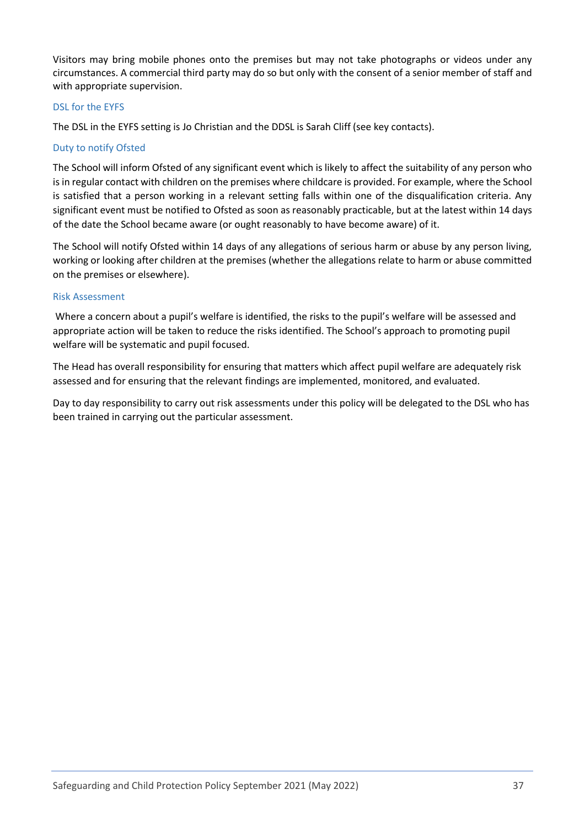Visitors may bring mobile phones onto the premises but may not take photographs or videos under any circumstances. A commercial third party may do so but only with the consent of a senior member of staff and with appropriate supervision.

### <span id="page-36-0"></span>DSL for the EYFS

The DSL in the EYFS setting is Jo Christian and the DDSL is Sarah Cliff (see key contacts).

### <span id="page-36-1"></span>Duty to notify Ofsted

The School will inform Ofsted of any significant event which is likely to affect the suitability of any person who is in regular contact with children on the premises where childcare is provided. For example, where the School is satisfied that a person working in a relevant setting falls within one of the disqualification criteria. Any significant event must be notified to Ofsted as soon as reasonably practicable, but at the latest within 14 days of the date the School became aware (or ought reasonably to have become aware) of it.

The School will notify Ofsted within 14 days of any allegations of serious harm or abuse by any person living, working or looking after children at the premises (whether the allegations relate to harm or abuse committed on the premises or elsewhere).

### <span id="page-36-2"></span>Risk Assessment

Where a concern about a pupil's welfare is identified, the risks to the pupil's welfare will be assessed and appropriate action will be taken to reduce the risks identified. The School's approach to promoting pupil welfare will be systematic and pupil focused.

The Head has overall responsibility for ensuring that matters which affect pupil welfare are adequately risk assessed and for ensuring that the relevant findings are implemented, monitored, and evaluated.

<span id="page-36-3"></span>Day to day responsibility to carry out risk assessments under this policy will be delegated to the DSL who has been trained in carrying out the particular assessment.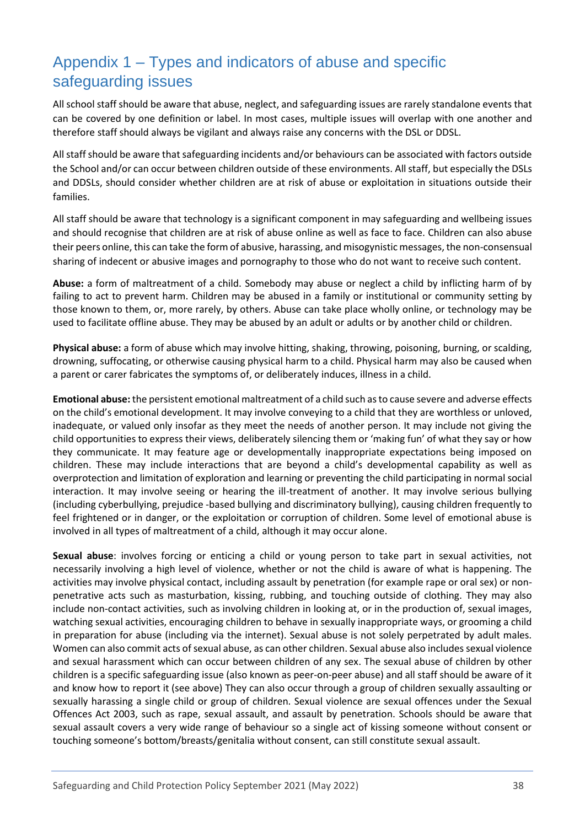# <span id="page-37-0"></span>Appendix 1 – Types and indicators of abuse and specific safeguarding issues

All school staff should be aware that abuse, neglect, and safeguarding issues are rarely standalone events that can be covered by one definition or label. In most cases, multiple issues will overlap with one another and therefore staff should always be vigilant and always raise any concerns with the DSL or DDSL.

All staff should be aware that safeguarding incidents and/or behaviours can be associated with factors outside the School and/or can occur between children outside of these environments. All staff, but especially the DSLs and DDSLs, should consider whether children are at risk of abuse or exploitation in situations outside their families.

All staff should be aware that technology is a significant component in may safeguarding and wellbeing issues and should recognise that children are at risk of abuse online as well as face to face. Children can also abuse their peers online, this can take the form of abusive, harassing, and misogynistic messages, the non-consensual sharing of indecent or abusive images and pornography to those who do not want to receive such content.

**Abuse:** a form of maltreatment of a child. Somebody may abuse or neglect a child by inflicting harm of by failing to act to prevent harm. Children may be abused in a family or institutional or community setting by those known to them, or, more rarely, by others. Abuse can take place wholly online, or technology may be used to facilitate offline abuse. They may be abused by an adult or adults or by another child or children.

**Physical abuse:** a form of abuse which may involve hitting, shaking, throwing, poisoning, burning, or scalding, drowning, suffocating, or otherwise causing physical harm to a child. Physical harm may also be caused when a parent or carer fabricates the symptoms of, or deliberately induces, illness in a child.

**Emotional abuse:** the persistent emotional maltreatment of a child such as to cause severe and adverse effects on the child's emotional development. It may involve conveying to a child that they are worthless or unloved, inadequate, or valued only insofar as they meet the needs of another person. It may include not giving the child opportunities to express their views, deliberately silencing them or 'making fun' of what they say or how they communicate. It may feature age or developmentally inappropriate expectations being imposed on children. These may include interactions that are beyond a child's developmental capability as well as overprotection and limitation of exploration and learning or preventing the child participating in normal social interaction. It may involve seeing or hearing the ill-treatment of another. It may involve serious bullying (including cyberbullying, prejudice -based bullying and discriminatory bullying), causing children frequently to feel frightened or in danger, or the exploitation or corruption of children. Some level of emotional abuse is involved in all types of maltreatment of a child, although it may occur alone.

**Sexual abuse**: involves forcing or enticing a child or young person to take part in sexual activities, not necessarily involving a high level of violence, whether or not the child is aware of what is happening. The activities may involve physical contact, including assault by penetration (for example rape or oral sex) or nonpenetrative acts such as masturbation, kissing, rubbing, and touching outside of clothing. They may also include non-contact activities, such as involving children in looking at, or in the production of, sexual images, watching sexual activities, encouraging children to behave in sexually inappropriate ways, or grooming a child in preparation for abuse (including via the internet). Sexual abuse is not solely perpetrated by adult males. Women can also commit acts of sexual abuse, as can other children. Sexual abuse also includes sexual violence and sexual harassment which can occur between children of any sex. The sexual abuse of children by other children is a specific safeguarding issue (also known as peer-on-peer abuse) and all staff should be aware of it and know how to report it (see above) They can also occur through a group of children sexually assaulting or sexually harassing a single child or group of children. Sexual violence are sexual offences under the Sexual Offences Act 2003, such as rape, sexual assault, and assault by penetration. Schools should be aware that sexual assault covers a very wide range of behaviour so a single act of kissing someone without consent or touching someone's bottom/breasts/genitalia without consent, can still constitute sexual assault.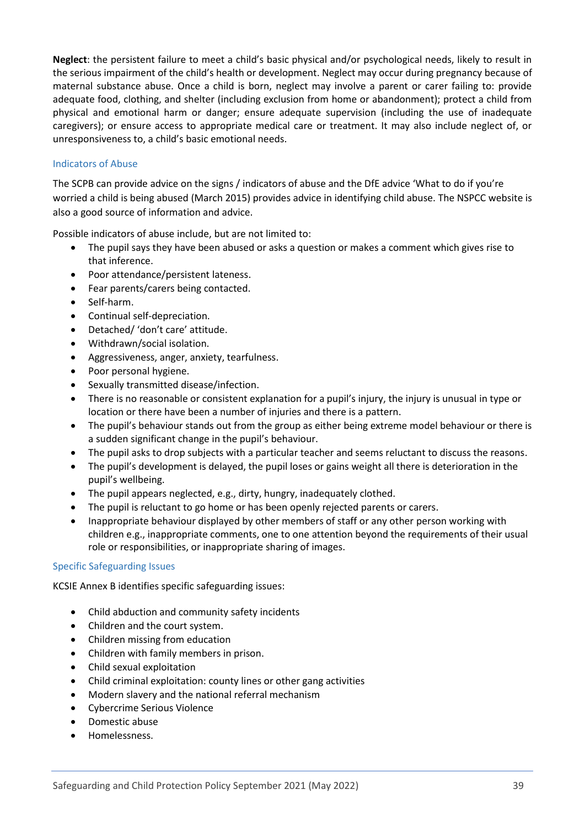**Neglect**: the persistent failure to meet a child's basic physical and/or psychological needs, likely to result in the serious impairment of the child's health or development. Neglect may occur during pregnancy because of maternal substance abuse. Once a child is born, neglect may involve a parent or carer failing to: provide adequate food, clothing, and shelter (including exclusion from home or abandonment); protect a child from physical and emotional harm or danger; ensure adequate supervision (including the use of inadequate caregivers); or ensure access to appropriate medical care or treatment. It may also include neglect of, or unresponsiveness to, a child's basic emotional needs.

### <span id="page-38-0"></span>Indicators of Abuse

The SCPB can provide advice on the signs / indicators of abuse and the DfE advice 'What to do if you're worried a child is being abused (March 2015) provides advice in identifying child abuse. The NSPCC website is also a good source of information and advice.

Possible indicators of abuse include, but are not limited to:

- The pupil says they have been abused or asks a question or makes a comment which gives rise to that inference.
- Poor attendance/persistent lateness.
- Fear parents/carers being contacted.
- Self-harm.
- Continual self-depreciation.
- Detached/ 'don't care' attitude.
- Withdrawn/social isolation.
- Aggressiveness, anger, anxiety, tearfulness.
- Poor personal hygiene.
- Sexually transmitted disease/infection.
- There is no reasonable or consistent explanation for a pupil's injury, the injury is unusual in type or location or there have been a number of injuries and there is a pattern.
- The pupil's behaviour stands out from the group as either being extreme model behaviour or there is a sudden significant change in the pupil's behaviour.
- The pupil asks to drop subjects with a particular teacher and seems reluctant to discuss the reasons.
- The pupil's development is delayed, the pupil loses or gains weight all there is deterioration in the pupil's wellbeing.
- The pupil appears neglected, e.g., dirty, hungry, inadequately clothed.
- The pupil is reluctant to go home or has been openly rejected parents or carers.
- Inappropriate behaviour displayed by other members of staff or any other person working with children e.g., inappropriate comments, one to one attention beyond the requirements of their usual role or responsibilities, or inappropriate sharing of images.

#### <span id="page-38-1"></span>Specific Safeguarding Issues

KCSIE Annex B identifies specific safeguarding issues:

- Child abduction and community safety incidents
- Children and the court system.
- Children missing from education
- Children with family members in prison.
- Child sexual exploitation
- Child criminal exploitation: county lines or other gang activities
- Modern slavery and the national referral mechanism
- Cybercrime Serious Violence
- Domestic abuse
- Homelessness.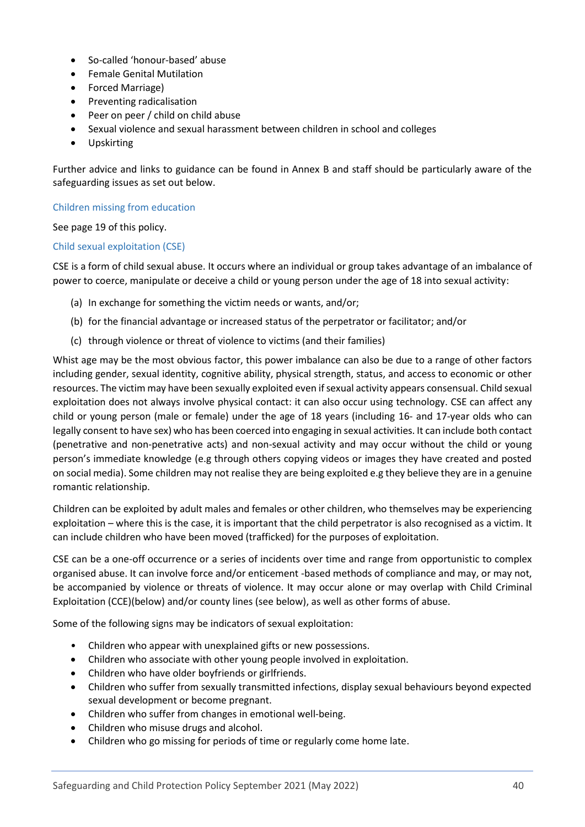- So-called 'honour-based' abuse
- Female Genital Mutilation
- Forced Marriage)
- Preventing radicalisation
- Peer on peer / child on child abuse
- Sexual violence and sexual harassment between children in school and colleges
- Upskirting

Further advice and links to guidance can be found in Annex B and staff should be particularly aware of the safeguarding issues as set out below.

<span id="page-39-0"></span>Children missing from education

See page 19 of this policy.

#### <span id="page-39-1"></span>Child sexual exploitation (CSE)

CSE is a form of child sexual abuse. It occurs where an individual or group takes advantage of an imbalance of power to coerce, manipulate or deceive a child or young person under the age of 18 into sexual activity:

- (a) In exchange for something the victim needs or wants, and/or;
- (b) for the financial advantage or increased status of the perpetrator or facilitator; and/or
- (c) through violence or threat of violence to victims (and their families)

Whist age may be the most obvious factor, this power imbalance can also be due to a range of other factors including gender, sexual identity, cognitive ability, physical strength, status, and access to economic or other resources. The victim may have been sexually exploited even if sexual activity appears consensual. Child sexual exploitation does not always involve physical contact: it can also occur using technology. CSE can affect any child or young person (male or female) under the age of 18 years (including 16- and 17-year olds who can legally consent to have sex) who has been coerced into engaging in sexual activities. It can include both contact (penetrative and non-penetrative acts) and non-sexual activity and may occur without the child or young person's immediate knowledge (e.g through others copying videos or images they have created and posted on social media). Some children may not realise they are being exploited e.g they believe they are in a genuine romantic relationship.

Children can be exploited by adult males and females or other children, who themselves may be experiencing exploitation – where this is the case, it is important that the child perpetrator is also recognised as a victim. It can include children who have been moved (trafficked) for the purposes of exploitation.

CSE can be a one-off occurrence or a series of incidents over time and range from opportunistic to complex organised abuse. It can involve force and/or enticement -based methods of compliance and may, or may not, be accompanied by violence or threats of violence. It may occur alone or may overlap with Child Criminal Exploitation (CCE)(below) and/or county lines (see below), as well as other forms of abuse.

Some of the following signs may be indicators of sexual exploitation:

- Children who appear with unexplained gifts or new possessions.
- Children who associate with other young people involved in exploitation.
- Children who have older boyfriends or girlfriends.
- Children who suffer from sexually transmitted infections, display sexual behaviours beyond expected sexual development or become pregnant.
- Children who suffer from changes in emotional well-being.
- Children who misuse drugs and alcohol.
- Children who go missing for periods of time or regularly come home late.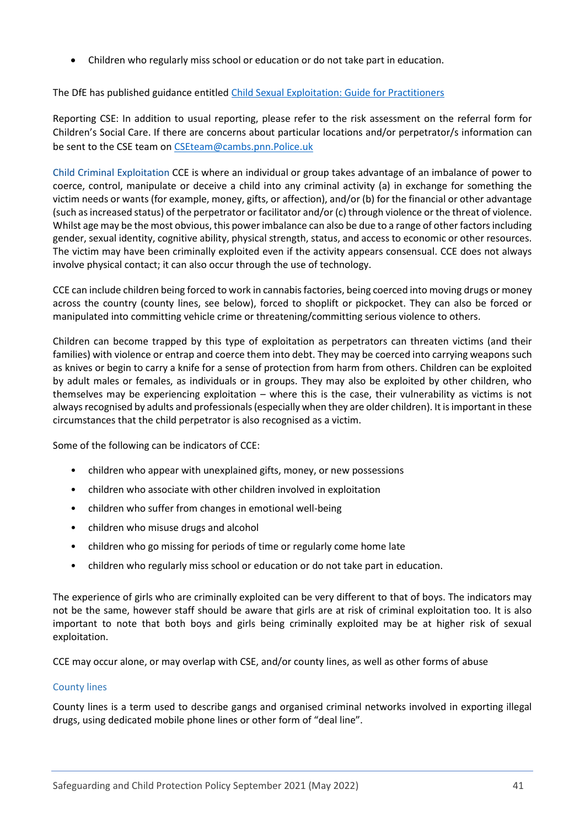• Children who regularly miss school or education or do not take part in education.

The DfE has published guidance entitled [Child Sexual Exploitation: Guide for Practitioners](https://www.gov.uk/government/publications/child-sexual-exploitation-definition-and-guide-for-practitioners)

Reporting CSE: In addition to usual reporting, please refer to the risk assessment on the referral form for Children's Social Care. If there are concerns about particular locations and/or perpetrator/s information can be sent to the CSE team on [CSEteam@cambs.pnn.Police.uk](mailto:CSEteam@cambs.pnn.police.uk)

Child Criminal Exploitation CCE is where an individual or group takes advantage of an imbalance of power to coerce, control, manipulate or deceive a child into any criminal activity (a) in exchange for something the victim needs or wants (for example, money, gifts, or affection), and/or (b) for the financial or other advantage (such as increased status) of the perpetrator or facilitator and/or (c) through violence or the threat of violence. Whilst age may be the most obvious, this power imbalance can also be due to a range of other factors including gender, sexual identity, cognitive ability, physical strength, status, and access to economic or other resources. The victim may have been criminally exploited even if the activity appears consensual. CCE does not always involve physical contact; it can also occur through the use of technology.

CCE can include children being forced to work in cannabis factories, being coerced into moving drugs or money across the country (county lines, see below), forced to shoplift or pickpocket. They can also be forced or manipulated into committing vehicle crime or threatening/committing serious violence to others.

Children can become trapped by this type of exploitation as perpetrators can threaten victims (and their families) with violence or entrap and coerce them into debt. They may be coerced into carrying weapons such as knives or begin to carry a knife for a sense of protection from harm from others. Children can be exploited by adult males or females, as individuals or in groups. They may also be exploited by other children, who themselves may be experiencing exploitation – where this is the case, their vulnerability as victims is not always recognised by adults and professionals (especially when they are older children). It is important in these circumstances that the child perpetrator is also recognised as a victim.

Some of the following can be indicators of CCE:

- children who appear with unexplained gifts, money, or new possessions
- children who associate with other children involved in exploitation
- children who suffer from changes in emotional well-being
- children who misuse drugs and alcohol
- children who go missing for periods of time or regularly come home late
- children who regularly miss school or education or do not take part in education.

The experience of girls who are criminally exploited can be very different to that of boys. The indicators may not be the same, however staff should be aware that girls are at risk of criminal exploitation too. It is also important to note that both boys and girls being criminally exploited may be at higher risk of sexual exploitation.

CCE may occur alone, or may overlap with CSE, and/or county lines, as well as other forms of abuse

#### <span id="page-40-0"></span>County lines

County lines is a term used to describe gangs and organised criminal networks involved in exporting illegal drugs, using dedicated mobile phone lines or other form of "deal line".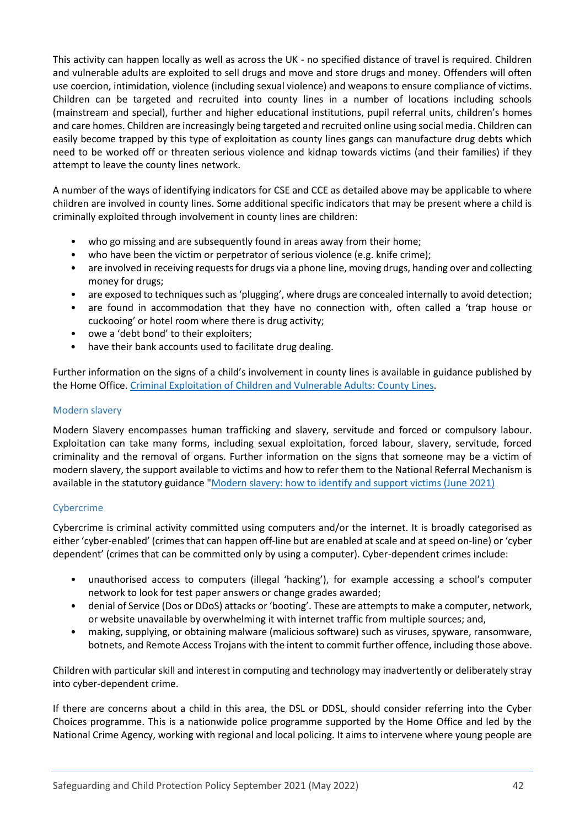This activity can happen locally as well as across the UK - no specified distance of travel is required. Children and vulnerable adults are exploited to sell drugs and move and store drugs and money. Offenders will often use coercion, intimidation, violence (including sexual violence) and weapons to ensure compliance of victims. Children can be targeted and recruited into county lines in a number of locations including schools (mainstream and special), further and higher educational institutions, pupil referral units, children's homes and care homes. Children are increasingly being targeted and recruited online using social media. Children can easily become trapped by this type of exploitation as county lines gangs can manufacture drug debts which need to be worked off or threaten serious violence and kidnap towards victims (and their families) if they attempt to leave the county lines network.

A number of the ways of identifying indicators for CSE and CCE as detailed above may be applicable to where children are involved in county lines. Some additional specific indicators that may be present where a child is criminally exploited through involvement in county lines are children:

- who go missing and are subsequently found in areas away from their home;
- who have been the victim or perpetrator of serious violence (e.g. knife crime);
- are involved in receiving requests for drugs via a phone line, moving drugs, handing over and collecting money for drugs;
- are exposed to techniques such as 'plugging', where drugs are concealed internally to avoid detection;
- are found in accommodation that they have no connection with, often called a 'trap house or cuckooing' or hotel room where there is drug activity;
- owe a 'debt bond' to their exploiters;
- have their bank accounts used to facilitate drug dealing.

Further information on the signs of a child's involvement in county lines is available in guidance published by the Home Office. [Criminal Exploitation of Children and Vulnerable Adults: County Lines.](https://www.gov.uk/government/publications/criminal-exploitation-of-children-and-vulnerable-adults-county-lines/criminal-exploitation-of-children-and-vulnerable-adults-county-lines)

### <span id="page-41-0"></span>Modern slavery

Modern Slavery encompasses human trafficking and slavery, servitude and forced or compulsory labour. Exploitation can take many forms, including sexual exploitation, forced labour, slavery, servitude, forced criminality and the removal of organs. Further information on the signs that someone may be a victim of modern slavery, the support available to victims and how to refer them to the National Referral Mechanism is available in the statutory guidance ["Modern slavery: how to identify and support victims \(June 2021\)](https://www.gov.uk/government/publications/modern-slavery-how-to-identify-and-support-victims)

### <span id="page-41-1"></span>Cybercrime

Cybercrime is criminal activity committed using computers and/or the internet. It is broadly categorised as either 'cyber-enabled' (crimes that can happen off-line but are enabled at scale and at speed on-line) or 'cyber dependent' (crimes that can be committed only by using a computer). Cyber-dependent crimes include:

- unauthorised access to computers (illegal 'hacking'), for example accessing a school's computer network to look for test paper answers or change grades awarded;
- denial of Service (Dos or DDoS) attacks or 'booting'. These are attempts to make a computer, network, or website unavailable by overwhelming it with internet traffic from multiple sources; and,
- making, supplying, or obtaining malware (malicious software) such as viruses, spyware, ransomware, botnets, and Remote Access Trojans with the intent to commit further offence, including those above.

Children with particular skill and interest in computing and technology may inadvertently or deliberately stray into cyber-dependent crime.

If there are concerns about a child in this area, the DSL or DDSL, should consider referring into the Cyber Choices programme. This is a nationwide police programme supported by the Home Office and led by the National Crime Agency, working with regional and local policing. It aims to intervene where young people are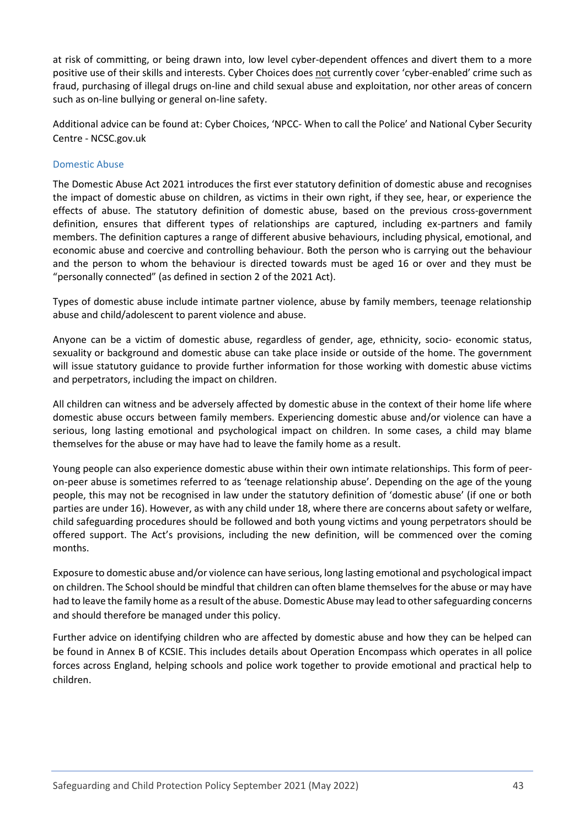at risk of committing, or being drawn into, low level cyber-dependent offences and divert them to a more positive use of their skills and interests. Cyber Choices does not currently cover 'cyber-enabled' crime such as fraud, purchasing of illegal drugs on-line and child sexual abuse and exploitation, nor other areas of concern such as on-line bullying or general on-line safety.

Additional advice can be found at: Cyber Choices, 'NPCC- When to call the Police' and National Cyber Security Centre - NCSC.gov.uk

### <span id="page-42-0"></span>Domestic Abuse

The Domestic Abuse Act 2021 introduces the first ever statutory definition of domestic abuse and recognises the impact of domestic abuse on children, as victims in their own right, if they see, hear, or experience the effects of abuse. The statutory definition of domestic abuse, based on the previous cross-government definition, ensures that different types of relationships are captured, including ex-partners and family members. The definition captures a range of different abusive behaviours, including physical, emotional, and economic abuse and coercive and controlling behaviour. Both the person who is carrying out the behaviour and the person to whom the behaviour is directed towards must be aged 16 or over and they must be "personally connected" (as defined in section 2 of the 2021 Act).

Types of domestic abuse include intimate partner violence, abuse by family members, teenage relationship abuse and child/adolescent to parent violence and abuse.

Anyone can be a victim of domestic abuse, regardless of gender, age, ethnicity, socio- economic status, sexuality or background and domestic abuse can take place inside or outside of the home. The government will issue statutory guidance to provide further information for those working with domestic abuse victims and perpetrators, including the impact on children.

All children can witness and be adversely affected by domestic abuse in the context of their home life where domestic abuse occurs between family members. Experiencing domestic abuse and/or violence can have a serious, long lasting emotional and psychological impact on children. In some cases, a child may blame themselves for the abuse or may have had to leave the family home as a result.

Young people can also experience domestic abuse within their own intimate relationships. This form of peeron-peer abuse is sometimes referred to as 'teenage relationship abuse'. Depending on the age of the young people, this may not be recognised in law under the statutory definition of 'domestic abuse' (if one or both parties are under 16). However, as with any child under 18, where there are concerns about safety or welfare, child safeguarding procedures should be followed and both young victims and young perpetrators should be offered support. The Act's provisions, including the new definition, will be commenced over the coming months.

Exposure to domestic abuse and/or violence can have serious, long lasting emotional and psychological impact on children. The School should be mindful that children can often blame themselves for the abuse or may have had to leave the family home as a result of the abuse. Domestic Abuse may lead to other safeguarding concerns and should therefore be managed under this policy.

Further advice on identifying children who are affected by domestic abuse and how they can be helped can be found in Annex B of KCSIE. This includes details about Operation Encompass which operates in all police forces across England, helping schools and police work together to provide emotional and practical help to children.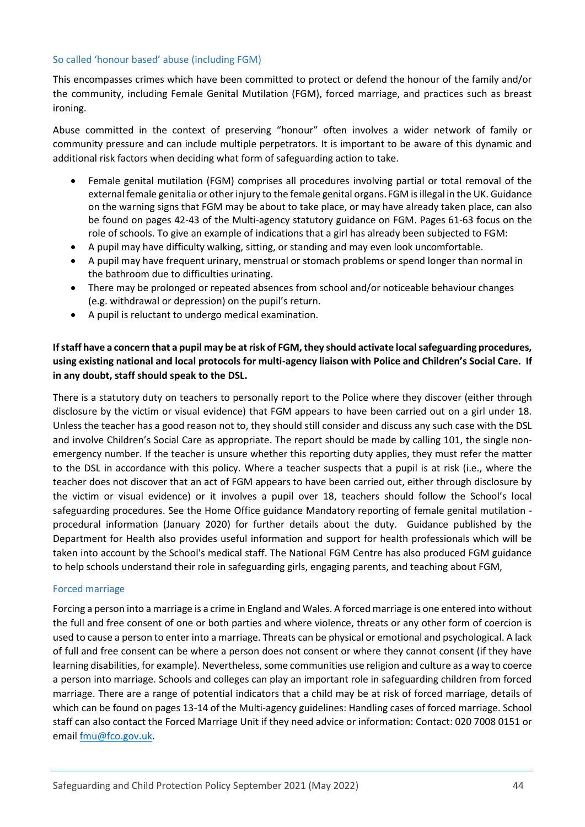### <span id="page-43-0"></span>So called 'honour based' abuse (including FGM)

This encompasses crimes which have been committed to protect or defend the honour of the family and/or the community, including Female Genital Mutilation (FGM), forced marriage, and practices such as breast ironing.

Abuse committed in the context of preserving "honour" often involves a wider network of family or community pressure and can include multiple perpetrators. It is important to be aware of this dynamic and additional risk factors when deciding what form of safeguarding action to take.

- Female genital mutilation (FGM) comprises all procedures involving partial or total removal of the external female genitalia or other injury to the female genital organs.FGM is illegal in the UK. Guidance on the warning signs that FGM may be about to take place, or may have already taken place, can also be found on pages 42-43 of the Multi-agency statutory guidance on FGM. Pages 61-63 focus on the role of schools. To give an example of indications that a girl has already been subjected to FGM:
- A pupil may have difficulty walking, sitting, or standing and may even look uncomfortable.
- A pupil may have frequent urinary, menstrual or stomach problems or spend longer than normal in the bathroom due to difficulties urinating.
- There may be prolonged or repeated absences from school and/or noticeable behaviour changes (e.g. withdrawal or depression) on the pupil's return.
- A pupil is reluctant to undergo medical examination.

## **If staff have a concern that a pupil may be at risk of FGM, they should activate local safeguarding procedures, using existing national and local protocols for multi-agency liaison with Police and Children's Social Care. If in any doubt, staff should speak to the DSL.**

There is a statutory duty on teachers to personally report to the Police where they discover (either through disclosure by the victim or visual evidence) that FGM appears to have been carried out on a girl under 18. Unless the teacher has a good reason not to, they should still consider and discuss any such case with the DSL and involve Children's Social Care as appropriate. The report should be made by calling 101, the single nonemergency number. If the teacher is unsure whether this reporting duty applies, they must refer the matter to the DSL in accordance with this policy. Where a teacher suspects that a pupil is at risk (i.e., where the teacher does not discover that an act of FGM appears to have been carried out, either through disclosure by the victim or visual evidence) or it involves a pupil over 18, teachers should follow the School's local safeguarding procedures. See the Home Office guidance Mandatory reporting of female genital mutilation procedural information (January 2020) for further details about the duty. Guidance published by the Department for Health also provides useful information and support for health professionals which will be taken into account by the School's medical staff. The National FGM Centre has also produced FGM guidance to help schools understand their role in safeguarding girls, engaging parents, and teaching about FGM,

### <span id="page-43-1"></span>Forced marriage

Forcing a person into a marriage is a crime in England and Wales. A forced marriage is one entered into without the full and free consent of one or both parties and where violence, threats or any other form of coercion is used to cause a person to enter into a marriage. Threats can be physical or emotional and psychological. A lack of full and free consent can be where a person does not consent or where they cannot consent (if they have learning disabilities, for example). Nevertheless, some communities use religion and culture as a way to coerce a person into marriage. Schools and colleges can play an important role in safeguarding children from forced marriage. There are a range of potential indicators that a child may be at risk of forced marriage, details of which can be found on pages 13-14 of the Multi-agency guidelines: Handling cases of forced marriage. School staff can also contact the Forced Marriage Unit if they need advice or information: Contact: 020 7008 0151 or email [fmu@fco.gov.uk.](mailto:fmu@fco.gov.uk)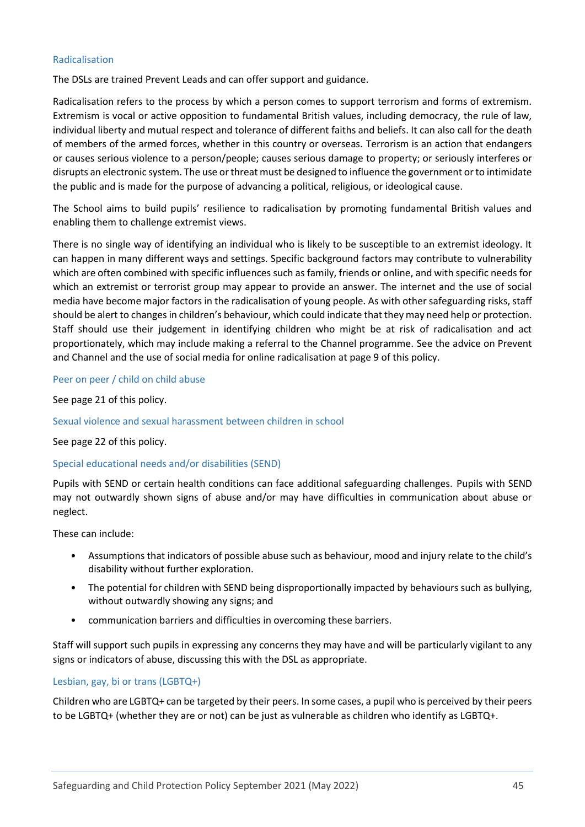#### <span id="page-44-0"></span>Radicalisation

The DSLs are trained Prevent Leads and can offer support and guidance.

Radicalisation refers to the process by which a person comes to support terrorism and forms of extremism. Extremism is vocal or active opposition to fundamental British values, including democracy, the rule of law, individual liberty and mutual respect and tolerance of different faiths and beliefs. It can also call for the death of members of the armed forces, whether in this country or overseas. Terrorism is an action that endangers or causes serious violence to a person/people; causes serious damage to property; or seriously interferes or disrupts an electronic system. The use or threat must be designed to influence the government or to intimidate the public and is made for the purpose of advancing a political, religious, or ideological cause.

The School aims to build pupils' resilience to radicalisation by promoting fundamental British values and enabling them to challenge extremist views.

There is no single way of identifying an individual who is likely to be susceptible to an extremist ideology. It can happen in many different ways and settings. Specific background factors may contribute to vulnerability which are often combined with specific influences such as family, friends or online, and with specific needs for which an extremist or terrorist group may appear to provide an answer. The internet and the use of social media have become major factors in the radicalisation of young people. As with other safeguarding risks, staff should be alert to changes in children's behaviour, which could indicate that they may need help or protection. Staff should use their judgement in identifying children who might be at risk of radicalisation and act proportionately, which may include making a referral to the Channel programme. See the advice on Prevent and Channel and the use of social media for online radicalisation at page 9 of this policy.

#### <span id="page-44-1"></span>Peer on peer / child on child abuse

See page 21 of this policy.

#### <span id="page-44-2"></span>Sexual violence and sexual harassment between children in school

See page 22 of this policy.

#### <span id="page-44-3"></span>Special educational needs and/or disabilities (SEND)

Pupils with SEND or certain health conditions can face additional safeguarding challenges. Pupils with SEND may not outwardly shown signs of abuse and/or may have difficulties in communication about abuse or neglect.

These can include:

- Assumptions that indicators of possible abuse such as behaviour, mood and injury relate to the child's disability without further exploration.
- The potential for children with SEND being disproportionally impacted by behaviours such as bullying, without outwardly showing any signs; and
- communication barriers and difficulties in overcoming these barriers.

Staff will support such pupils in expressing any concerns they may have and will be particularly vigilant to any signs or indicators of abuse, discussing this with the DSL as appropriate.

#### <span id="page-44-4"></span>Lesbian, gay, bi or trans (LGBTQ+)

Children who are LGBTQ+ can be targeted by their peers. In some cases, a pupil who is perceived by their peers to be LGBTQ+ (whether they are or not) can be just as vulnerable as children who identify as LGBTQ+.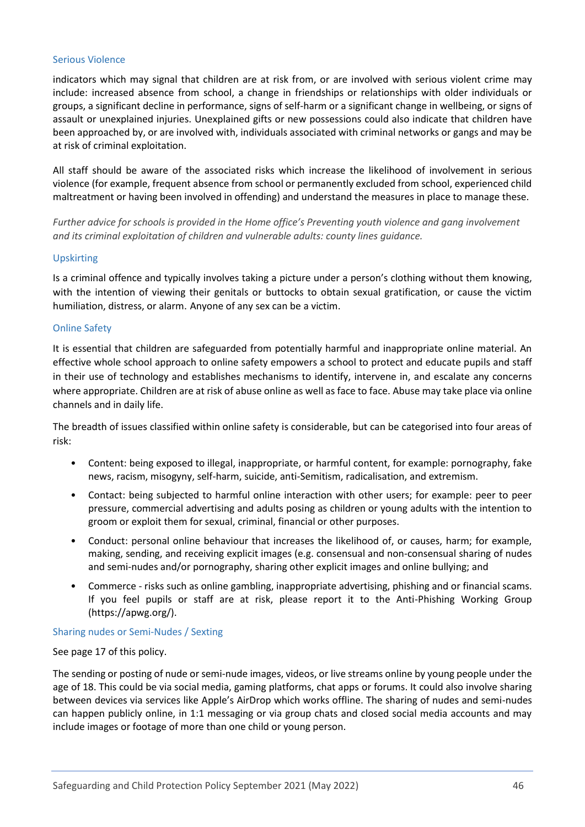#### <span id="page-45-0"></span>Serious Violence

indicators which may signal that children are at risk from, or are involved with serious violent crime may include: increased absence from school, a change in friendships or relationships with older individuals or groups, a significant decline in performance, signs of self-harm or a significant change in wellbeing, or signs of assault or unexplained injuries. Unexplained gifts or new possessions could also indicate that children have been approached by, or are involved with, individuals associated with criminal networks or gangs and may be at risk of criminal exploitation.

All staff should be aware of the associated risks which increase the likelihood of involvement in serious violence (for example, frequent absence from school or permanently excluded from school, experienced child maltreatment or having been involved in offending) and understand the measures in place to manage these.

*Further advice for schools is provided in the Home office's Preventing youth violence and gang involvement and its criminal exploitation of children and vulnerable adults: county lines guidance.* 

#### <span id="page-45-1"></span>Upskirting

Is a criminal offence and typically involves taking a picture under a person's clothing without them knowing, with the intention of viewing their genitals or buttocks to obtain sexual gratification, or cause the victim humiliation, distress, or alarm. Anyone of any sex can be a victim.

#### <span id="page-45-2"></span>Online Safety

It is essential that children are safeguarded from potentially harmful and inappropriate online material. An effective whole school approach to online safety empowers a school to protect and educate pupils and staff in their use of technology and establishes mechanisms to identify, intervene in, and escalate any concerns where appropriate. Children are at risk of abuse online as well as face to face. Abuse may take place via online channels and in daily life.

The breadth of issues classified within online safety is considerable, but can be categorised into four areas of risk:

- Content: being exposed to illegal, inappropriate, or harmful content, for example: pornography, fake news, racism, misogyny, self-harm, suicide, anti-Semitism, radicalisation, and extremism.
- Contact: being subjected to harmful online interaction with other users; for example: peer to peer pressure, commercial advertising and adults posing as children or young adults with the intention to groom or exploit them for sexual, criminal, financial or other purposes.
- Conduct: personal online behaviour that increases the likelihood of, or causes, harm; for example, making, sending, and receiving explicit images (e.g. consensual and non-consensual sharing of nudes and semi-nudes and/or pornography, sharing other explicit images and online bullying; and
- Commerce risks such as online gambling, inappropriate advertising, phishing and or financial scams. If you feel pupils or staff are at risk, please report it to the Anti-Phishing Working Group (https://apwg.org/).

#### <span id="page-45-3"></span>Sharing nudes or Semi-Nudes / Sexting

#### See page 17 of this policy.

The sending or posting of nude or semi-nude images, videos, or live streams online by young people under the age of 18. This could be via social media, gaming platforms, chat apps or forums. It could also involve sharing between devices via services like Apple's AirDrop which works offline. The sharing of nudes and semi-nudes can happen publicly online, in 1:1 messaging or via group chats and closed social media accounts and may include images or footage of more than one child or young person.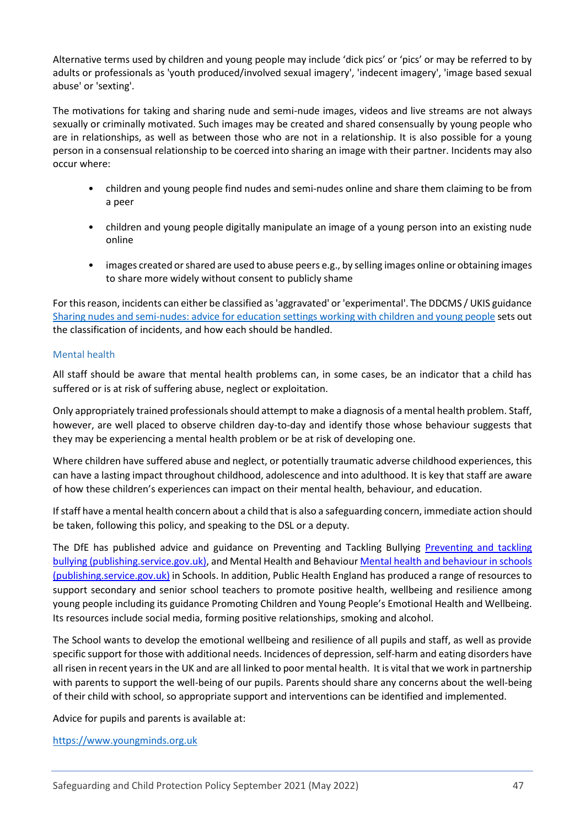Alternative terms used by children and young people may include 'dick pics' or 'pics' or may be referred to by adults or professionals as 'youth produced/involved sexual imagery', 'indecent imagery', 'image based sexual abuse' or 'sexting'.

The motivations for taking and sharing nude and semi-nude images, videos and live streams are not always sexually or criminally motivated. Such images may be created and shared consensually by young people who are in relationships, as well as between those who are not in a relationship. It is also possible for a young person in a consensual relationship to be coerced into sharing an image with their partner. Incidents may also occur where:

- children and young people find nudes and semi-nudes online and share them claiming to be from a peer
- children and young people digitally manipulate an image of a young person into an existing nude online
- images created or shared are used to abuse peers e.g., by selling images online or obtaining images to share more widely without consent to publicly shame

For this reason, incidents can either be classified as 'aggravated' or 'experimental'. The DDCMS / UKIS guidance [Sharing nudes and semi-nudes: advice for education settings working with children and young people](https://www.gov.uk/government/publications/sharing-nudes-and-semi-nudes-advice-for-education-settings-working-with-children-and-young-people/sharing-nudes-and-semi-nudes-advice-for-education-settings-working-with-children-and-young-people) sets out the classification of incidents, and how each should be handled.

### <span id="page-46-0"></span>Mental health

All staff should be aware that mental health problems can, in some cases, be an indicator that a child has suffered or is at risk of suffering abuse, neglect or exploitation.

Only appropriately trained professionals should attempt to make a diagnosis of a mental health problem. Staff, however, are well placed to observe children day-to-day and identify those whose behaviour suggests that they may be experiencing a mental health problem or be at risk of developing one.

Where children have suffered abuse and neglect, or potentially traumatic adverse childhood experiences, this can have a lasting impact throughout childhood, adolescence and into adulthood. It is key that staff are aware of how these children's experiences can impact on their mental health, behaviour, and education.

If staff have a mental health concern about a child that is also a safeguarding concern, immediate action should be taken, following this policy, and speaking to the DSL or a deputy.

The DfE has published advice and guidance on Preventing and Tackling Bullying [Preventing and tackling](https://assets.publishing.service.gov.uk/government/uploads/system/uploads/attachment_data/file/623895/Preventing_and_tackling_bullying_advice.pdf)  [bullying \(publishing.service.gov.uk\),](https://assets.publishing.service.gov.uk/government/uploads/system/uploads/attachment_data/file/623895/Preventing_and_tackling_bullying_advice.pdf) and Mental Health and Behaviou[r Mental health and behaviour in schools](https://assets.publishing.service.gov.uk/government/uploads/system/uploads/attachment_data/file/755135/Mental_health_and_behaviour_in_schools__.pdf)  [\(publishing.service.gov.uk\)](https://assets.publishing.service.gov.uk/government/uploads/system/uploads/attachment_data/file/755135/Mental_health_and_behaviour_in_schools__.pdf) in Schools. In addition, Public Health England has produced a range of resources to support secondary and senior school teachers to promote positive health, wellbeing and resilience among young people including its guidance Promoting Children and Young People's Emotional Health and Wellbeing. Its resources include social media, forming positive relationships, smoking and alcohol.

The School wants to develop the emotional wellbeing and resilience of all pupils and staff, as well as provide specific support for those with additional needs. Incidences of depression, self-harm and eating disorders have all risen in recent years in the UK and are all linked to poor mental health. It is vital that we work in partnership with parents to support the well-being of our pupils. Parents should share any concerns about the well-being of their child with school, so appropriate support and interventions can be identified and implemented.

Advice for pupils and parents is available at:

[https://www.youngminds.org.uk](https://www.youngminds.org.uk/)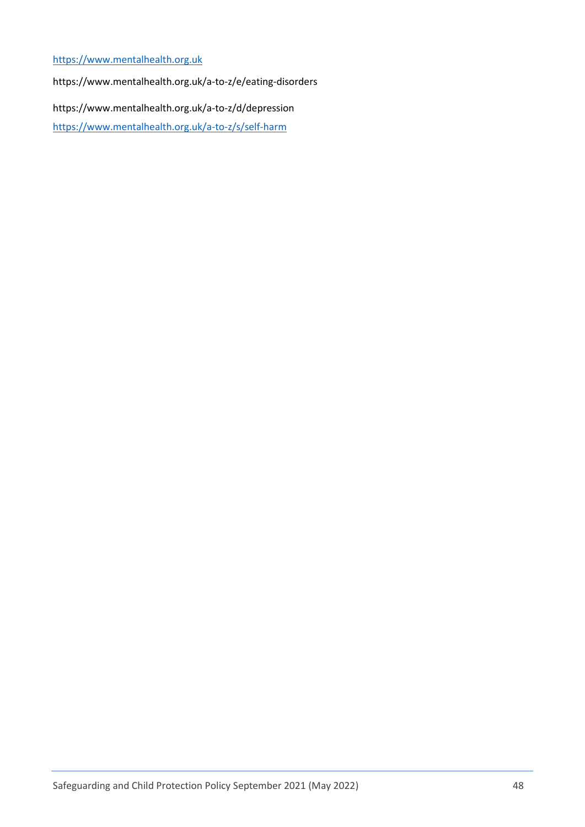## [https://www.mentalhealth.org.uk](https://www.mentalhealth.org.uk/)

https://www.mentalhealth.org.uk/a-to-z/e/eating-disorders

https://www.mentalhealth.org.uk/a-to-z/d/depression

<https://www.mentalhealth.org.uk/a-to-z/s/self-harm>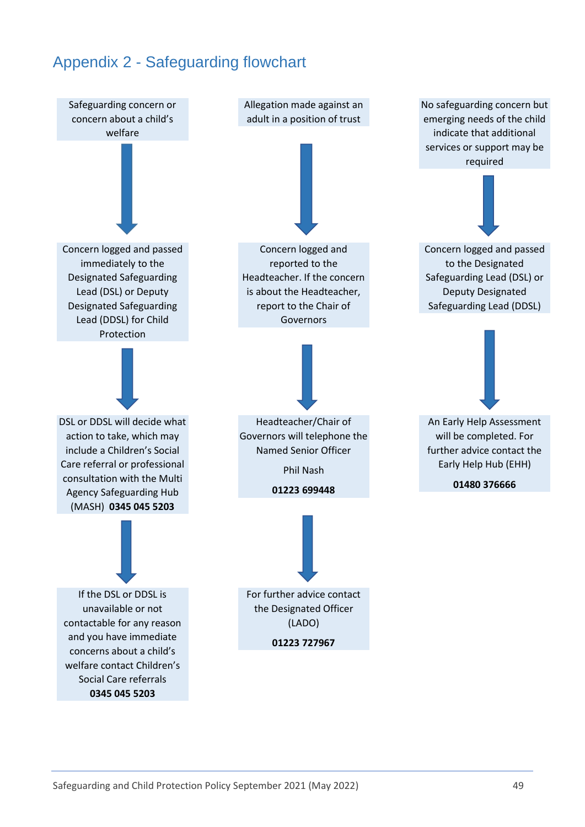# <span id="page-48-0"></span>Appendix 2 - Safeguarding flowchart